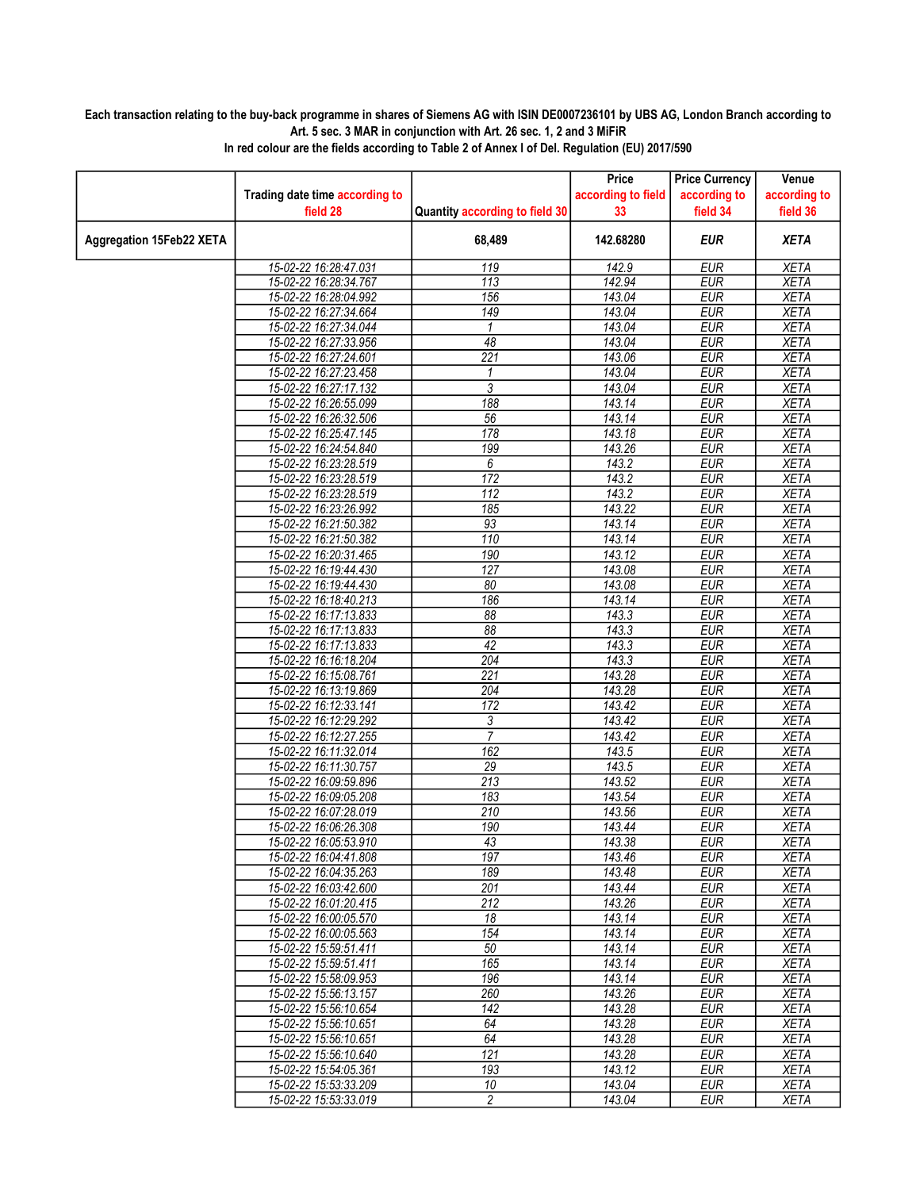## Each transaction relating to the buy-back programme in shares of Siemens AG with ISIN DE0007236101 by UBS AG, London Branch according to Art. 5 sec. 3 MAR in conjunction with Art. 26 sec. 1, 2 and 3 MiFiR

|                                 |                                |                                | Price              | <b>Price Currency</b> | Venue        |
|---------------------------------|--------------------------------|--------------------------------|--------------------|-----------------------|--------------|
|                                 | Trading date time according to |                                | according to field | according to          | according to |
|                                 | field 28                       | Quantity according to field 30 | 33                 | field 34              | field 36     |
| <b>Aggregation 15Feb22 XETA</b> |                                | 68,489                         | 142.68280          | <b>EUR</b>            | <b>XETA</b>  |
|                                 | 15-02-22 16:28:47.031          | 119                            | 142.9              | <b>EUR</b>            | <b>XETA</b>  |
|                                 | 15-02-22 16:28:34.767          | $\overline{113}$               | 142.94             | <b>EUR</b>            | <b>XETA</b>  |
|                                 | 15-02-22 16:28:04.992          | 156                            | 143.04             | <b>EUR</b>            | <b>XETA</b>  |
|                                 | 15-02-22 16:27:34.664          | 149                            | 143.04             | <b>EUR</b>            | <b>XETA</b>  |
|                                 | 15-02-22 16:27:34.044          | 1                              | 143.04             | <b>EUR</b>            | <b>XETA</b>  |
|                                 | 15-02-22 16:27:33.956          | 48                             | 143.04             | <b>EUR</b>            | <b>XETA</b>  |
|                                 | 15-02-22 16:27:24.601          | $\overline{221}$               | 143.06             | <b>EUR</b>            | <b>XETA</b>  |
|                                 | 15-02-22 16:27:23.458          | 1                              | 143.04             | <b>EUR</b>            | <b>XETA</b>  |
|                                 | 15-02-22 16:27:17.132          | 3                              | 143.04             | <b>EUR</b>            | <b>XETA</b>  |
|                                 | 15-02-22 16:26:55.099          | 188                            | 143.14             | <b>EUR</b>            | <b>XETA</b>  |
|                                 | 15-02-22 16:26:32.506          | $\overline{56}$                | 143.14             | <b>EUR</b>            | <b>XETA</b>  |
|                                 | 15-02-22 16:25:47.145          | 178                            | 143.18             | <b>EUR</b>            | <b>XETA</b>  |
|                                 | 15-02-22 16:24:54.840          | 199                            | 143.26             | <b>EUR</b>            | <b>XETA</b>  |
|                                 | 15-02-22 16:23:28.519          | 6                              | 143.2              | <b>EUR</b>            | <b>XETA</b>  |
|                                 | 15-02-22 16:23:28.519          | 172                            | 143.2              | <b>EUR</b>            | <b>XETA</b>  |
|                                 | 15-02-22 16:23:28.519          | 112                            | 143.2              | <b>EUR</b>            | <b>XETA</b>  |
|                                 | 15-02-22 16:23:26.992          | 185                            | 143.22             | <b>EUR</b>            | <b>XETA</b>  |
|                                 | 15-02-22 16:21:50.382          | $\overline{93}$                | 143.14             | <b>EUR</b>            | <b>XETA</b>  |
|                                 | 15-02-22 16:21:50.382          | 110                            | 143.14             | <b>EUR</b>            | <b>XETA</b>  |
|                                 | 15-02-22 16:20:31.465          | 190                            | 143.12             | <b>EUR</b>            | <b>XETA</b>  |
|                                 | 15-02-22 16:19:44.430          | 127                            | 143.08             | <b>EUR</b>            | <b>XETA</b>  |
|                                 | 15-02-22 16:19:44.430          | 80                             | 143.08             | <b>EUR</b>            | <b>XETA</b>  |
|                                 | 15-02-22 16:18:40.213          | 186                            | 143.14             | <b>EUR</b>            | <b>XETA</b>  |
|                                 | 15-02-22 16:17:13.833          | $\overline{88}$                | 143.3              | <b>EUR</b>            | <b>XETA</b>  |
|                                 | 15-02-22 16:17:13.833          | 88                             | 143.3              | <b>EUR</b>            | <b>XETA</b>  |
|                                 | 15-02-22 16:17:13.833          | 42                             | 143.3              | <b>EUR</b>            | <b>XETA</b>  |
|                                 | 15-02-22 16:16:18.204          | 204                            | 143.3              | <b>EUR</b>            | <b>XETA</b>  |
|                                 | 15-02-22 16:15:08.761          | $\overline{221}$               | 143.28             | <b>EUR</b>            | <b>XETA</b>  |
|                                 | 15-02-22 16:13:19.869          | 204                            | 143.28             | <b>EUR</b>            | <b>XETA</b>  |
|                                 | 15-02-22 16:12:33.141          | 172                            | 143.42             | <b>EUR</b>            | <b>XETA</b>  |
|                                 | 15-02-22 16:12:29.292          | $\overline{3}$                 | 143.42             | <b>EUR</b>            | <b>XETA</b>  |
|                                 | 15-02-22 16:12:27.255          | $\overline{7}$                 | 143.42             | <b>EUR</b>            | <b>XETA</b>  |
|                                 | 15-02-22 16:11:32.014          | 162                            | 143.5              | <b>EUR</b>            | <b>XETA</b>  |
|                                 | 15-02-22 16:11:30.757          | 29                             | 143.5              | <b>EUR</b>            | <b>XETA</b>  |
|                                 | 15-02-22 16:09:59.896          | 213                            | 143.52             | <b>EUR</b>            | XETA         |
|                                 | 15-02-22 16:09:05.208          | 183                            | 143.54             | <b>EUR</b>            | <b>XETA</b>  |
|                                 | 15-02-22 16:07:28.019          | 210                            | 143.56             | <b>EUR</b>            | <b>XETA</b>  |
|                                 | 15-02-22 16:06:26.308          | 190                            | 143.44             | <b>EUR</b>            | <b>XETA</b>  |
|                                 | 15-02-22 16:05:53.910          | 43                             | 143.38             | <b>EUR</b>            | <b>XETA</b>  |
|                                 | 15-02-22 16:04:41.808          | 197                            | 143.46             | <b>EUR</b>            | <b>XETA</b>  |
|                                 | 15-02-22 16:04:35.263          | 189                            | 143.48             | EUR                   | XETA         |
|                                 | 15-02-22 16:03:42.600          | $\overline{201}$               | 143.44             | <b>EUR</b>            | <b>XETA</b>  |
|                                 | 15-02-22 16:01:20.415          | $\overline{212}$               | 143.26             | <b>EUR</b>            | <b>XETA</b>  |
|                                 | 15-02-22 16:00:05.570          | 18                             | 143.14             | <b>EUR</b>            | XETA         |
|                                 | 15-02-22 16:00:05.563          | 154                            | 143.14             | <b>EUR</b>            | <b>XETA</b>  |
|                                 | 15-02-22 15:59:51.411          | 50                             | 143.14             | <b>EUR</b>            | <b>XETA</b>  |
|                                 | 15-02-22 15:59:51.411          | 165                            | 143.14             | EUR                   | XETA         |
|                                 | 15-02-22 15:58:09.953          | 196                            | 143.14             | <b>EUR</b>            | <b>XETA</b>  |
|                                 | 15-02-22 15:56:13.157          | 260                            | 143.26             | <b>EUR</b>            | <b>XETA</b>  |
|                                 | 15-02-22 15:56:10.654          | 142                            | 143.28             | <b>EUR</b>            | <b>XETA</b>  |
|                                 | 15-02-22 15:56:10.651          | 64                             | 143.28             | <b>EUR</b>            | <b>XETA</b>  |
|                                 | 15-02-22 15:56:10.651          | 64                             | 143.28             | <b>EUR</b>            | <b>XETA</b>  |
|                                 | 15-02-22 15:56:10.640          | 121                            | 143.28             | <b>EUR</b>            | <b>XETA</b>  |
|                                 | 15-02-22 15:54:05.361          | 193                            | 143.12             | <b>EUR</b>            | <b>XETA</b>  |
|                                 | 15-02-22 15:53:33.209          | 10                             | 143.04             | <b>EUR</b>            | XETA         |
|                                 | 15-02-22 15:53:33.019          | $\overline{2}$                 | 143.04             | <b>EUR</b>            | <b>XETA</b>  |

In red colour are the fields according to Table 2 of Annex I of Del. Regulation (EU) 2017/590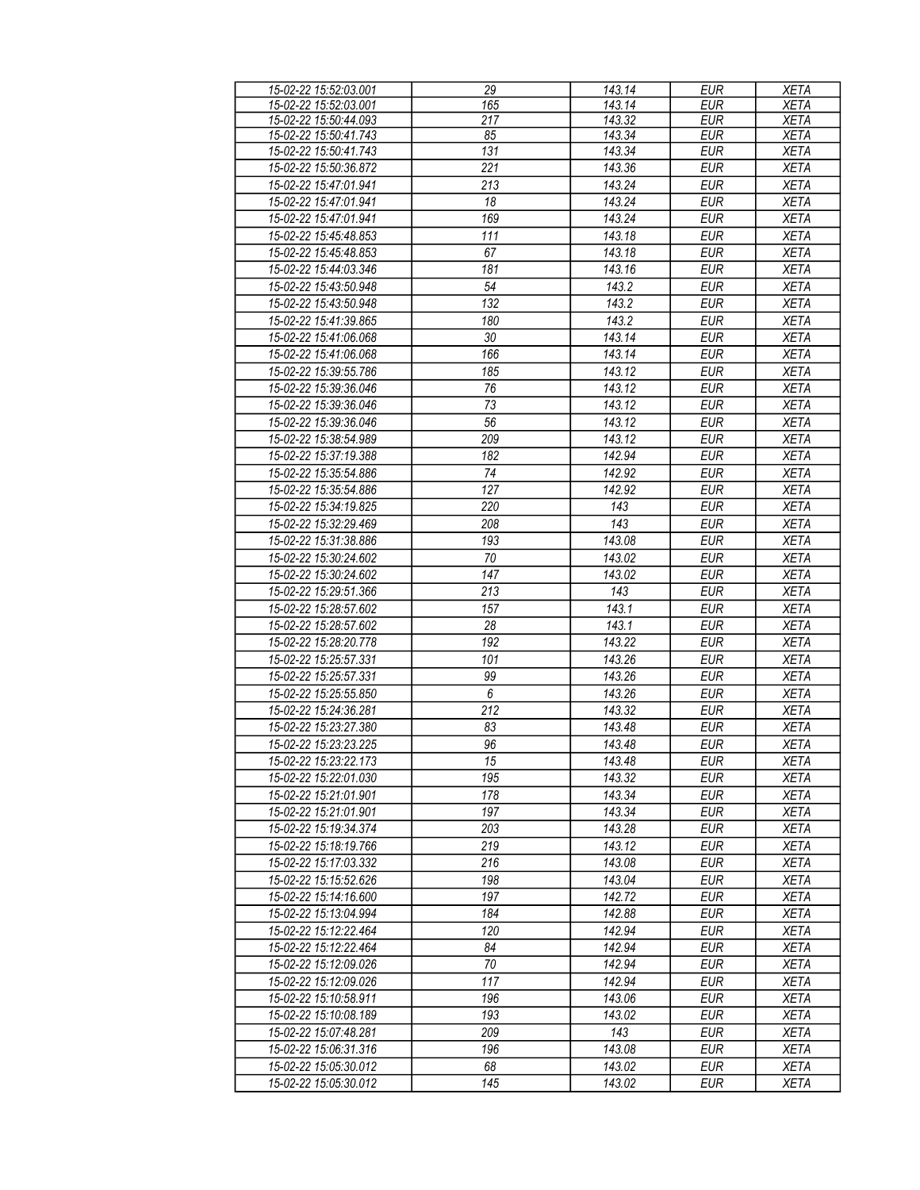| 15-02-22 15:52:03.001 | 29               | 143.14 | <b>EUR</b> | <b>XETA</b> |
|-----------------------|------------------|--------|------------|-------------|
| 15-02-22 15:52:03.001 | 165              | 143.14 | <b>EUR</b> | <b>XETA</b> |
| 15-02-22 15:50:44.093 | 217              | 143.32 | <b>EUR</b> | <b>XETA</b> |
| 15-02-22 15:50:41.743 | 85               | 143.34 | <b>EUR</b> | <b>XETA</b> |
| 15-02-22 15:50:41.743 | 131              | 143.34 | <b>EUR</b> | <b>XETA</b> |
| 15-02-22 15:50:36.872 | 221              | 143.36 | <b>EUR</b> | <b>XETA</b> |
| 15-02-22 15:47:01.941 |                  | 143.24 | <b>EUR</b> |             |
|                       | 213              |        |            | <b>XETA</b> |
| 15-02-22 15:47:01.941 | 18               | 143.24 | <b>EUR</b> | <b>XETA</b> |
| 15-02-22 15:47:01.941 | 169              | 143.24 | <b>EUR</b> | <b>XETA</b> |
| 15-02-22 15:45:48.853 | 111              | 143.18 | <b>EUR</b> | <b>XETA</b> |
| 15-02-22 15:45:48.853 | 67               | 143.18 | <b>EUR</b> | <b>XETA</b> |
| 15-02-22 15:44:03.346 | 181              | 143.16 | <b>EUR</b> | <b>XETA</b> |
| 15-02-22 15:43:50.948 | 54               | 143.2  | <b>EUR</b> | <b>XETA</b> |
| 15-02-22 15:43:50.948 | 132              | 143.2  | <b>EUR</b> | <b>XETA</b> |
| 15-02-22 15:41:39.865 | 180              | 143.2  | <b>EUR</b> | <b>XETA</b> |
| 15-02-22 15:41:06.068 | 30               | 143.14 | <b>EUR</b> | <b>XETA</b> |
| 15-02-22 15:41:06.068 | 166              | 143.14 | <b>EUR</b> | <b>XETA</b> |
| 15-02-22 15:39:55.786 | 185              | 143.12 | <b>EUR</b> | <b>XETA</b> |
|                       |                  |        |            |             |
| 15-02-22 15:39:36.046 | 76               | 143.12 | <b>EUR</b> | <b>XETA</b> |
| 15-02-22 15:39:36.046 | 73               | 143.12 | <b>EUR</b> | <b>XETA</b> |
| 15-02-22 15:39:36.046 | 56               | 143.12 | <b>EUR</b> | <b>XETA</b> |
| 15-02-22 15:38:54.989 | 209              | 143.12 | <b>EUR</b> | <b>XETA</b> |
| 15-02-22 15:37:19.388 | 182              | 142.94 | <b>EUR</b> | <b>XETA</b> |
| 15-02-22 15:35:54.886 | 74               | 142.92 | <b>EUR</b> | <b>XETA</b> |
| 15-02-22 15:35:54.886 | 127              | 142.92 | <b>EUR</b> | <b>XETA</b> |
| 15-02-22 15:34:19.825 | 220              | 143    | <b>EUR</b> | <b>XETA</b> |
| 15-02-22 15:32:29.469 | 208              | 143    | <b>EUR</b> | <b>XETA</b> |
| 15-02-22 15:31:38.886 | 193              | 143.08 | <b>EUR</b> | <b>XETA</b> |
| 15-02-22 15:30:24.602 | 70               | 143.02 | <b>EUR</b> | <b>XETA</b> |
| 15-02-22 15:30:24.602 | 147              | 143.02 | <b>EUR</b> | <b>XETA</b> |
|                       |                  |        |            |             |
| 15-02-22 15:29:51.366 | 213              | 143    | <b>EUR</b> | <b>XETA</b> |
| 15-02-22 15:28:57.602 | 157              | 143.1  | <b>EUR</b> | <b>XETA</b> |
| 15-02-22 15:28:57.602 | 28               | 143.1  | <b>EUR</b> | <b>XETA</b> |
| 15-02-22 15:28:20.778 | 192              | 143.22 | <b>EUR</b> | <b>XETA</b> |
| 15-02-22 15:25:57.331 | 101              | 143.26 | <b>EUR</b> | <b>XETA</b> |
| 15-02-22 15:25:57.331 | 99               | 143.26 | <b>EUR</b> | <b>XETA</b> |
| 15-02-22 15:25:55.850 | $\boldsymbol{6}$ | 143.26 | <b>EUR</b> | <b>XETA</b> |
| 15-02-22 15:24:36.281 | $\overline{212}$ | 143.32 | <b>EUR</b> | <b>XETA</b> |
| 15-02-22 15:23:27.380 | 83               | 143.48 | EUR        | <b>XETA</b> |
| 15-02-22 15:23:23.225 | 96               | 143.48 | <b>EUR</b> | <b>XETA</b> |
| 15-02-22 15:23:22.173 | 15               | 143.48 | <b>EUR</b> | <b>XETA</b> |
| 15-02-22 15:22:01.030 | 195              | 143.32 | <b>EUR</b> | <b>XETA</b> |
| 15-02-22 15:21:01.901 | 178              | 143.34 | EUR        |             |
|                       |                  |        |            | XETA        |
| 15-02-22 15:21:01.901 | 197              | 143.34 | <b>EUR</b> | <b>XETA</b> |
| 15-02-22 15:19:34.374 | 203              | 143.28 | <b>EUR</b> | XETA        |
| 15-02-22 15:18:19.766 | 219              | 143.12 | <b>EUR</b> | XETA        |
| 15-02-22 15:17:03.332 | 216              | 143.08 | EUR        | XETA        |
| 15-02-22 15:15:52.626 | 198              | 143.04 | <b>EUR</b> | <b>XETA</b> |
| 15-02-22 15:14:16.600 | 197              | 142.72 | <b>EUR</b> | <b>XETA</b> |
| 15-02-22 15:13:04.994 | 184              | 142.88 | <b>EUR</b> | <b>XETA</b> |
| 15-02-22 15:12:22.464 | 120              | 142.94 | EUR        | <b>XETA</b> |
| 15-02-22 15:12:22.464 | 84               | 142.94 | $E$ UR     | XETA        |
| 15-02-22 15:12:09.026 | $70\,$           | 142.94 | <b>EUR</b> | XETA        |
| 15-02-22 15:12:09.026 | $\overline{117}$ | 142.94 | <b>EUR</b> | XETA        |
| 15-02-22 15:10:58.911 | 196              | 143.06 | <b>EUR</b> | <b>XETA</b> |
| 15-02-22 15:10:08.189 | 193              | 143.02 | <b>EUR</b> | <b>XETA</b> |
|                       |                  |        |            |             |
| 15-02-22 15:07:48.281 | 209              | 143    | <b>EUR</b> | <b>XETA</b> |
| 15-02-22 15:06:31.316 | 196              | 143.08 | <b>EUR</b> | <b>XETA</b> |
| 15-02-22 15:05:30.012 | 68               | 143.02 | EUR        | <b>XETA</b> |
| 15-02-22 15:05:30.012 | 145              | 143.02 | EUR        | <b>XETA</b> |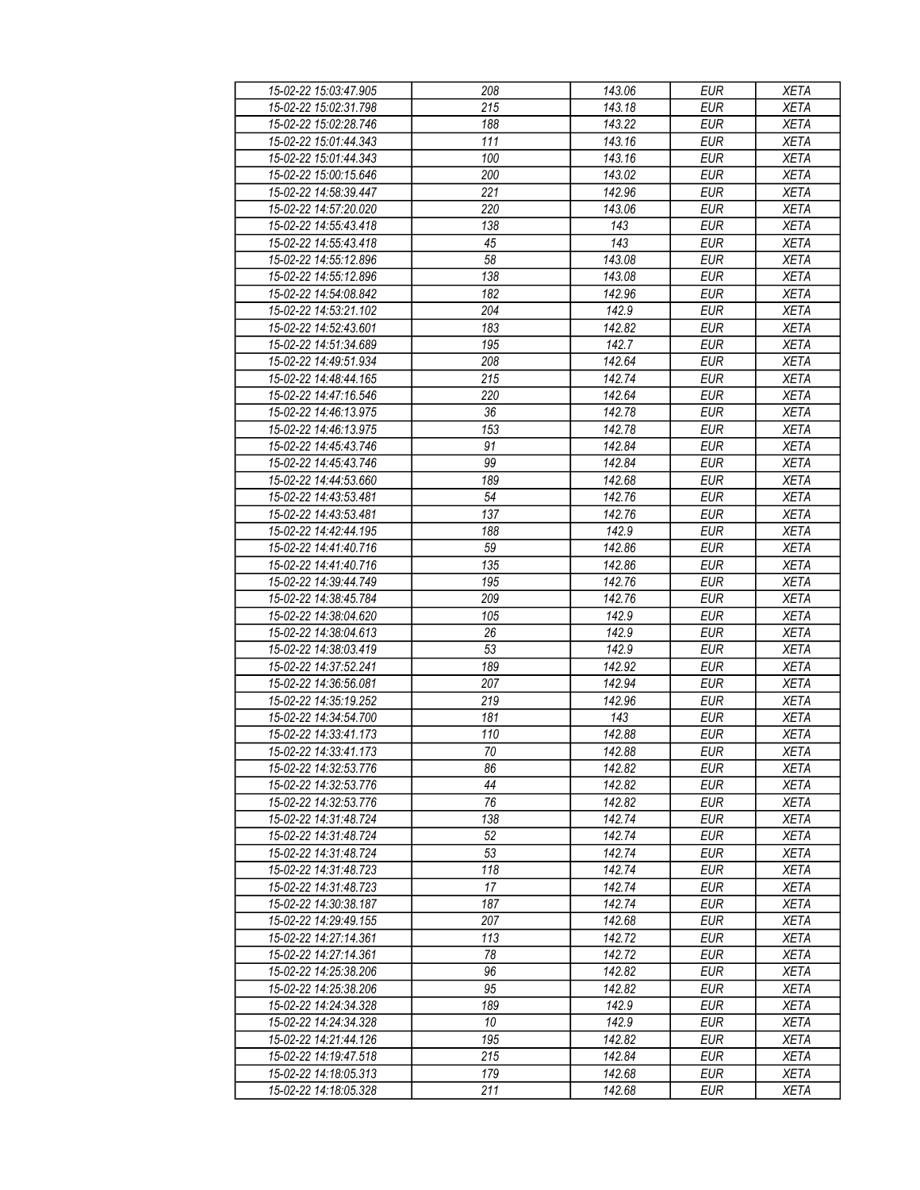| 15-02-22 15:03:47.905 | 208 | 143.06 | <b>EUR</b> | <b>XETA</b> |
|-----------------------|-----|--------|------------|-------------|
| 15-02-22 15:02:31.798 | 215 | 143.18 | <b>EUR</b> | <b>XETA</b> |
| 15-02-22 15:02:28.746 | 188 | 143.22 | <b>EUR</b> | <b>XETA</b> |
| 15-02-22 15:01:44.343 | 111 | 143.16 | <b>EUR</b> | <b>XETA</b> |
| 15-02-22 15:01:44.343 | 100 | 143.16 | <b>EUR</b> | <b>XETA</b> |
| 15-02-22 15:00:15.646 | 200 | 143.02 | <b>EUR</b> | <b>XETA</b> |
|                       | 221 |        | <b>EUR</b> | <b>XETA</b> |
| 15-02-22 14:58:39.447 |     | 142.96 |            |             |
| 15-02-22 14:57:20.020 | 220 | 143.06 | <b>EUR</b> | <b>XETA</b> |
| 15-02-22 14:55:43.418 | 138 | 143    | <b>EUR</b> | <b>XETA</b> |
| 15-02-22 14:55:43.418 | 45  | 143    | <b>EUR</b> | <b>XETA</b> |
| 15-02-22 14:55:12.896 | 58  | 143.08 | <b>EUR</b> | <b>XETA</b> |
| 15-02-22 14:55:12.896 | 138 | 143.08 | <b>EUR</b> | <b>XETA</b> |
| 15-02-22 14:54:08.842 | 182 | 142.96 | <b>EUR</b> | <b>XETA</b> |
| 15-02-22 14:53:21.102 | 204 | 142.9  | <b>EUR</b> | <b>XETA</b> |
| 15-02-22 14:52:43.601 | 183 | 142.82 | <b>EUR</b> | <b>XETA</b> |
| 15-02-22 14:51:34.689 | 195 | 142.7  | <b>EUR</b> | <b>XETA</b> |
| 15-02-22 14:49:51.934 | 208 | 142.64 | <b>EUR</b> | <b>XETA</b> |
| 15-02-22 14:48:44.165 | 215 | 142.74 | <b>EUR</b> | <b>XETA</b> |
| 15-02-22 14:47:16.546 | 220 | 142.64 | <b>EUR</b> | <b>XETA</b> |
| 15-02-22 14:46:13.975 | 36  | 142.78 | <b>EUR</b> | <b>XETA</b> |
| 15-02-22 14:46:13.975 | 153 | 142.78 | <b>EUR</b> | <b>XETA</b> |
| 15-02-22 14:45:43.746 | 91  | 142.84 | <b>EUR</b> | <b>XETA</b> |
| 15-02-22 14:45:43.746 | 99  | 142.84 | <b>EUR</b> | <b>XETA</b> |
| 15-02-22 14:44:53.660 | 189 | 142.68 | <b>EUR</b> | <b>XETA</b> |
|                       |     |        |            |             |
| 15-02-22 14:43:53.481 | 54  | 142.76 | <b>EUR</b> | <b>XETA</b> |
| 15-02-22 14:43:53.481 | 137 | 142.76 | <b>EUR</b> | <b>XETA</b> |
| 15-02-22 14:42:44.195 | 188 | 142.9  | <b>EUR</b> | <b>XETA</b> |
| 15-02-22 14:41:40.716 | 59  | 142.86 | <b>EUR</b> | <b>XETA</b> |
| 15-02-22 14:41:40.716 | 135 | 142.86 | <b>EUR</b> | <b>XETA</b> |
| 15-02-22 14:39:44.749 | 195 | 142.76 | <b>EUR</b> | <b>XETA</b> |
| 15-02-22 14:38:45.784 | 209 | 142.76 | <b>EUR</b> | <b>XETA</b> |
| 15-02-22 14:38:04.620 | 105 | 142.9  | <b>EUR</b> | <b>XETA</b> |
| 15-02-22 14:38:04.613 | 26  | 142.9  | <b>EUR</b> | <b>XETA</b> |
| 15-02-22 14:38:03.419 | 53  | 142.9  | <b>EUR</b> | <b>XETA</b> |
| 15-02-22 14:37:52.241 | 189 | 142.92 | <b>EUR</b> | <b>XETA</b> |
| 15-02-22 14:36:56.081 | 207 | 142.94 | <b>EUR</b> | <b>XETA</b> |
| 15-02-22 14:35:19.252 | 219 | 142.96 | <b>EUR</b> | <b>XETA</b> |
| 15-02-22 14:34:54.700 | 181 | 143    | <b>EUR</b> | <b>XETA</b> |
| 15-02-22 14:33:41.173 | 110 | 142.88 | <b>EUR</b> | <b>XETA</b> |
| 15-02-22 14:33:41 173 | 70  | 142.88 | <b>EUR</b> | <b>XETA</b> |
| 15-02-22 14:32:53.776 | 86  | 142.82 | EUR        | XETA        |
| 15-02-22 14:32:53.776 | 44  | 142.82 | <b>EUR</b> | <b>XETA</b> |
| 15-02-22 14:32:53.776 | 76  | 142.82 | <b>EUR</b> | <b>XETA</b> |
| 15-02-22 14:31:48.724 | 138 | 142.74 | <b>EUR</b> | <b>XETA</b> |
| 15-02-22 14:31:48.724 | 52  | 142.74 | <b>EUR</b> |             |
|                       |     |        |            | <b>XETA</b> |
| 15-02-22 14:31:48.724 | 53  | 142.74 | <b>EUR</b> | <b>XETA</b> |
| 15-02-22 14:31:48.723 | 118 | 142.74 | <b>EUR</b> | <b>XETA</b> |
| 15-02-22 14:31:48.723 | 17  | 142.74 | <b>EUR</b> | <b>XETA</b> |
| 15-02-22 14:30:38.187 | 187 | 142.74 | <b>EUR</b> | <b>XETA</b> |
| 15-02-22 14:29:49.155 | 207 | 142.68 | EUR        | <b>XETA</b> |
| 15-02-22 14:27:14.361 | 113 | 142.72 | <b>EUR</b> | <b>XETA</b> |
| 15-02-22 14:27:14.361 | 78  | 142.72 | <b>EUR</b> | <b>XETA</b> |
| 15-02-22 14:25:38.206 | 96  | 142.82 | <b>EUR</b> | <b>XETA</b> |
| 15-02-22 14:25:38.206 | 95  | 142.82 | EUR        | <b>XETA</b> |
| 15-02-22 14:24:34.328 | 189 | 142.9  | <b>EUR</b> | <b>XETA</b> |
| 15-02-22 14:24:34.328 | 10  | 142.9  | <b>EUR</b> | <b>XETA</b> |
| 15-02-22 14:21:44.126 | 195 | 142.82 | <b>EUR</b> | <b>XETA</b> |
| 15-02-22 14:19:47.518 | 215 | 142.84 | EUR        | XETA        |
| 15-02-22 14:18:05.313 | 179 | 142.68 | EUR        | <b>XETA</b> |
| 15-02-22 14:18:05.328 | 211 | 142.68 | EUR        | <b>XETA</b> |
|                       |     |        |            |             |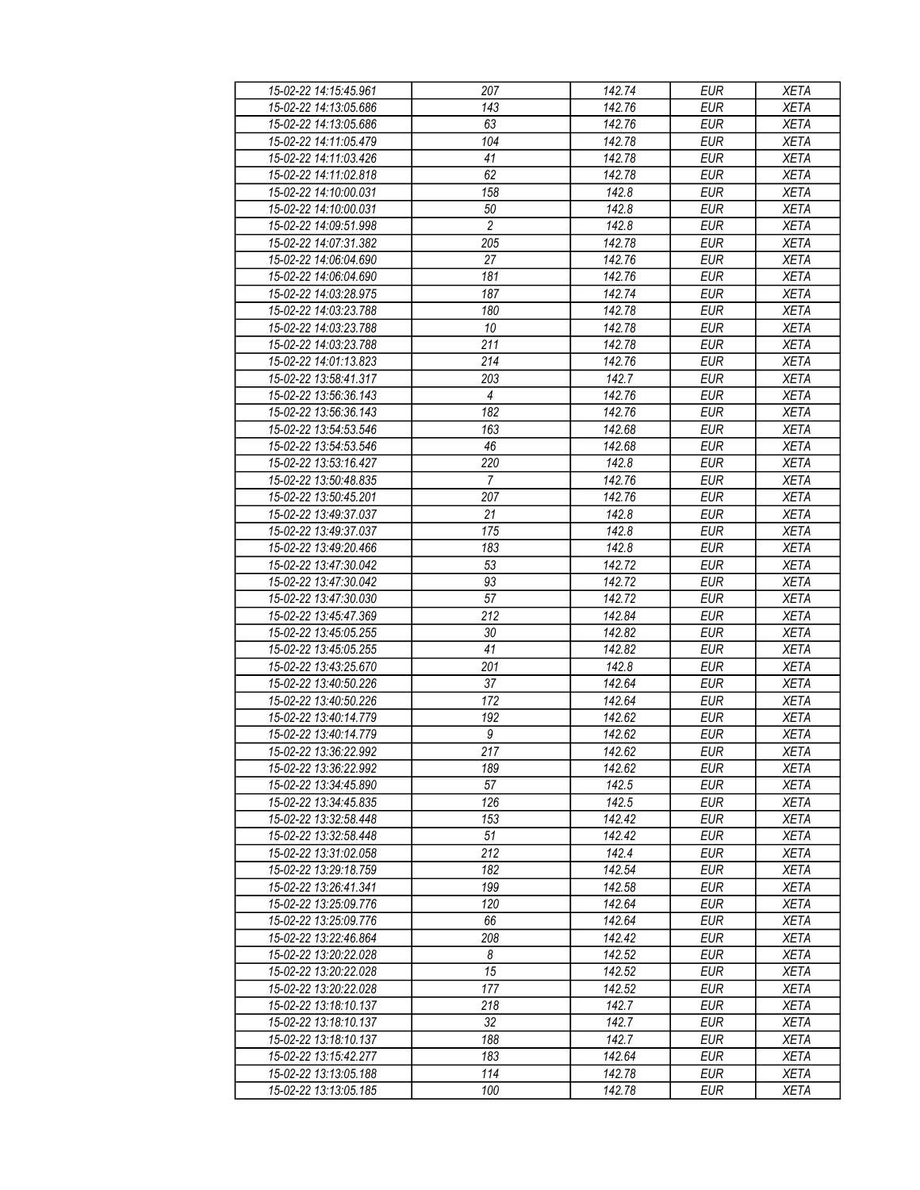| 15-02-22 14:15:45.961 | 207            | 142.74 | EUR        | <b>XETA</b> |
|-----------------------|----------------|--------|------------|-------------|
| 15-02-22 14:13:05.686 | 143            | 142.76 | <b>EUR</b> | <b>XETA</b> |
| 15-02-22 14:13:05.686 | 63             | 142.76 | <b>EUR</b> | <b>XETA</b> |
|                       |                |        |            |             |
| 15-02-22 14:11:05.479 | 104            | 142.78 | <b>EUR</b> | <b>XETA</b> |
| 15-02-22 14:11:03.426 | 41             | 142.78 | <b>EUR</b> | <b>XETA</b> |
| 15-02-22 14:11:02.818 | 62             | 142.78 | <b>EUR</b> | <b>XETA</b> |
| 15-02-22 14:10:00.031 | 158            | 142.8  | <b>EUR</b> | <b>XETA</b> |
| 15-02-22 14:10:00.031 | 50             | 142.8  | <b>EUR</b> | <b>XETA</b> |
| 15-02-22 14:09:51.998 | $\overline{c}$ | 142.8  | <b>EUR</b> | <b>XETA</b> |
| 15-02-22 14:07:31.382 | 205            | 142.78 | <b>EUR</b> | <b>XETA</b> |
| 15-02-22 14:06:04.690 | 27             | 142.76 | <b>EUR</b> | <b>XETA</b> |
| 15-02-22 14:06:04.690 | 181            | 142.76 | <b>EUR</b> | <b>XETA</b> |
|                       | 187            |        |            |             |
| 15-02-22 14:03:28.975 |                | 142.74 | <b>EUR</b> | <b>XETA</b> |
| 15-02-22 14:03:23.788 | 180            | 142.78 | <b>EUR</b> | <b>XETA</b> |
| 15-02-22 14:03:23.788 | 10             | 142.78 | <b>EUR</b> | <b>XETA</b> |
| 15-02-22 14:03:23.788 | 211            | 142.78 | <b>EUR</b> | <b>XETA</b> |
| 15-02-22 14:01:13.823 | 214            | 142.76 | <b>EUR</b> | <b>XETA</b> |
| 15-02-22 13:58:41.317 | 203            | 142.7  | <b>EUR</b> | <b>XETA</b> |
| 15-02-22 13:56:36.143 | $\overline{4}$ | 142.76 | <b>EUR</b> | <b>XETA</b> |
| 15-02-22 13:56:36.143 | 182            | 142.76 | <b>EUR</b> | <b>XETA</b> |
| 15-02-22 13:54:53.546 | 163            | 142.68 | <b>EUR</b> | <b>XETA</b> |
|                       | 46             |        | <b>EUR</b> |             |
| 15-02-22 13:54:53.546 |                | 142.68 |            | <b>XETA</b> |
| 15-02-22 13:53:16.427 | 220            | 142.8  | <b>EUR</b> | <b>XETA</b> |
| 15-02-22 13:50:48.835 | $\overline{7}$ | 142.76 | <b>EUR</b> | <b>XETA</b> |
| 15-02-22 13:50:45.201 | 207            | 142.76 | <b>EUR</b> | <b>XETA</b> |
| 15-02-22 13:49:37.037 | 21             | 142.8  | <b>EUR</b> | <b>XETA</b> |
| 15-02-22 13:49:37.037 | 175            | 142.8  | <b>EUR</b> | <b>XETA</b> |
| 15-02-22 13:49:20.466 | 183            | 142.8  | <b>EUR</b> | <b>XETA</b> |
| 15-02-22 13:47:30.042 | 53             | 142.72 | <b>EUR</b> | <b>XETA</b> |
| 15-02-22 13:47:30.042 | 93             | 142.72 | <b>EUR</b> | <b>XETA</b> |
| 15-02-22 13:47:30.030 | 57             | 142.72 | <b>EUR</b> | <b>XETA</b> |
| 15-02-22 13:45:47.369 | 212            | 142.84 | <b>EUR</b> | <b>XETA</b> |
|                       |                |        |            |             |
| 15-02-22 13:45:05.255 | 30             | 142.82 | <b>EUR</b> | <b>XETA</b> |
| 15-02-22 13:45:05.255 | 41             | 142.82 | <b>EUR</b> | <b>XETA</b> |
| 15-02-22 13:43:25.670 | 201            | 142.8  | <b>EUR</b> | <b>XETA</b> |
| 15-02-22 13:40:50.226 | 37             | 142.64 | <b>EUR</b> | <b>XETA</b> |
| 15-02-22 13:40:50.226 | 172            | 142.64 | <b>EUR</b> | <b>XETA</b> |
| 15-02-22 13:40:14.779 | 192            | 142.62 | <b>EUR</b> | <b>XETA</b> |
| 15-02-22 13:40:14.779 | $\overline{g}$ | 142.62 | <b>EUR</b> | <b>XETA</b> |
| 15-02-22 13:36:22.992 | 217            | 142.62 | <b>EUR</b> | <b>XETA</b> |
| 15-02-22 13:36:22.992 | 189            | 142.62 | <b>EUR</b> | <b>XETA</b> |
| 15-02-22 13:34:45.890 | 57             | 142.5  | EUR        | <b>XETA</b> |
|                       | 126            | 142.5  | <b>EUR</b> |             |
| 15-02-22 13:34:45.835 |                |        |            | <b>XETA</b> |
| 15-02-22 13:32:58.448 | 153            | 142.42 | EUR        | <b>XETA</b> |
| 15-02-22 13:32:58.448 | 51             | 142.42 | <b>EUR</b> | <b>XETA</b> |
| 15-02-22 13:31:02.058 | 212            | 142.4  | EUR        | <b>XETA</b> |
| 15-02-22 13:29:18.759 | 182            | 142.54 | <b>EUR</b> | <b>XETA</b> |
| 15-02-22 13:26:41.341 | 199            | 142.58 | <b>EUR</b> | <b>XETA</b> |
| 15-02-22 13:25:09.776 | 120            | 142.64 | <b>EUR</b> | <b>XETA</b> |
| 15-02-22 13:25:09.776 | 66             | 142.64 | EUR        | <b>XETA</b> |
| 15-02-22 13:22:46.864 | 208            | 142.42 | <b>EUR</b> | <b>XETA</b> |
| 15-02-22 13:20:22.028 | 8              | 142.52 | <b>EUR</b> | <b>XETA</b> |
| 15-02-22 13:20:22.028 | 15             | 142.52 | <b>EUR</b> | <b>XETA</b> |
|                       |                |        |            |             |
| 15-02-22 13:20:22.028 | 177            | 142.52 | EUR        | <b>XETA</b> |
| 15-02-22 13:18:10.137 | 218            | 142.7  | <b>EUR</b> | <b>XETA</b> |
| 15-02-22 13:18:10.137 | 32             | 142.7  | <b>EUR</b> | <b>XETA</b> |
| 15-02-22 13:18:10.137 | 188            | 142.7  | <b>EUR</b> | <b>XETA</b> |
| 15-02-22 13:15:42.277 | 183            | 142.64 | <b>EUR</b> | XETA        |
| 15-02-22 13:13:05.188 | 114            | 142.78 | EUR        | XETA        |
| 15-02-22 13:13:05.185 | 100            | 142.78 | EUR        | <b>XETA</b> |
|                       |                |        |            |             |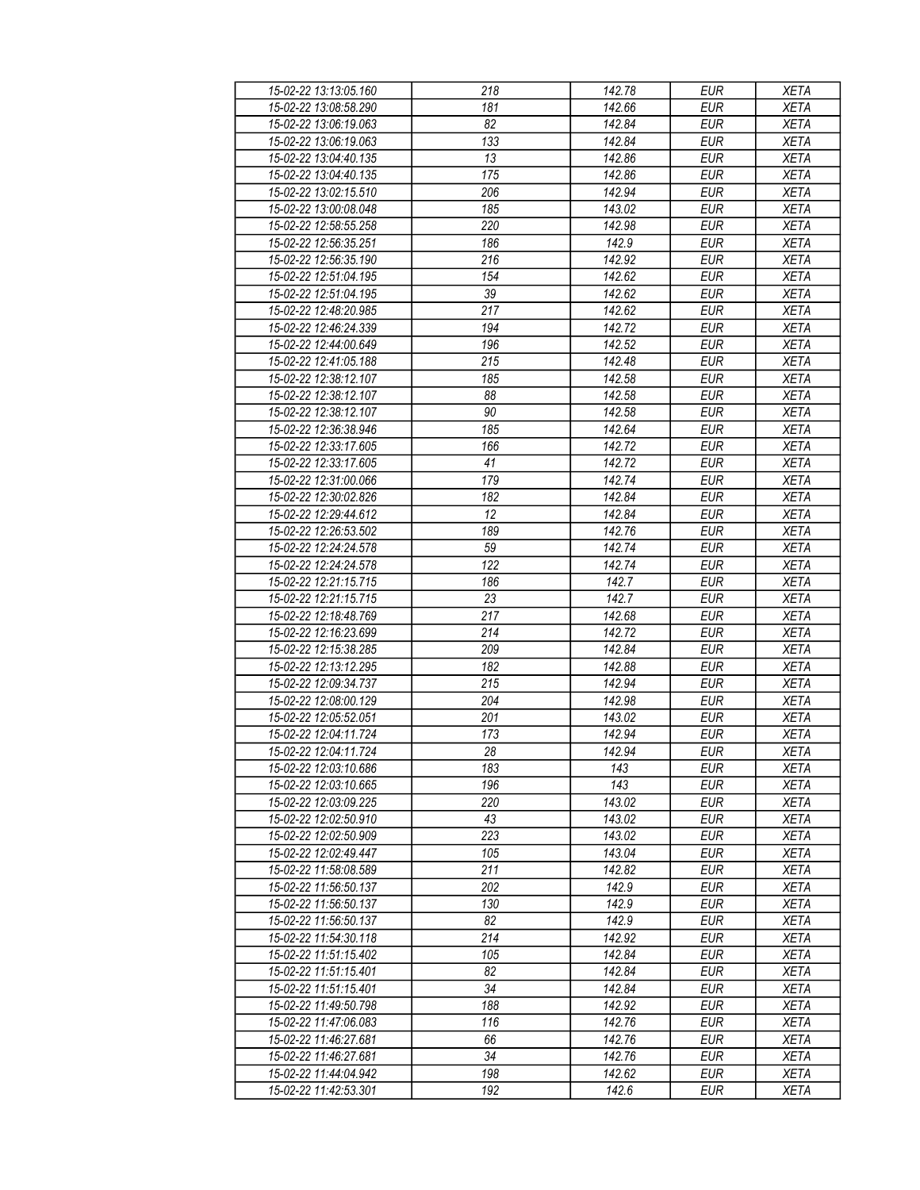| 15-02-22 13:13:05.160 | 218             | 142.78 | <b>EUR</b> | <b>XETA</b> |
|-----------------------|-----------------|--------|------------|-------------|
| 15-02-22 13:08:58.290 | 181             | 142.66 | <b>EUR</b> | <b>XETA</b> |
| 15-02-22 13:06:19.063 | $\overline{82}$ | 142.84 | <b>EUR</b> | <b>XETA</b> |
| 15-02-22 13:06:19.063 | 133             | 142.84 | <b>EUR</b> | <b>XETA</b> |
| 15-02-22 13:04:40.135 | 13              | 142.86 | <b>EUR</b> | <b>XETA</b> |
| 15-02-22 13:04:40.135 | 175             | 142.86 | <b>EUR</b> | <b>XETA</b> |
| 15-02-22 13:02:15.510 | 206             |        | <b>EUR</b> | <b>XETA</b> |
|                       |                 | 142.94 |            |             |
| 15-02-22 13:00:08.048 | 185             | 143.02 | <b>EUR</b> | <b>XETA</b> |
| 15-02-22 12:58:55.258 | 220             | 142.98 | <b>EUR</b> | <b>XETA</b> |
| 15-02-22 12:56:35.251 | 186             | 142.9  | <b>EUR</b> | <b>XETA</b> |
| 15-02-22 12:56:35.190 | 216             | 142.92 | <b>EUR</b> | <b>XETA</b> |
| 15-02-22 12:51:04.195 | 154             | 142.62 | <b>EUR</b> | <b>XETA</b> |
| 15-02-22 12:51:04.195 | 39              | 142.62 | <b>EUR</b> | <b>XETA</b> |
| 15-02-22 12:48:20.985 | 217             | 142.62 | <b>EUR</b> | <b>XETA</b> |
| 15-02-22 12:46:24.339 | 194             | 142.72 | <b>EUR</b> | <b>XETA</b> |
| 15-02-22 12:44:00.649 | 196             | 142.52 | <b>EUR</b> | <b>XETA</b> |
| 15-02-22 12:41:05.188 | 215             | 142.48 | <b>EUR</b> | <b>XETA</b> |
| 15-02-22 12:38:12.107 | 185             | 142.58 | <b>EUR</b> | <b>XETA</b> |
| 15-02-22 12:38:12.107 | 88              | 142.58 | <b>EUR</b> | <b>XETA</b> |
| 15-02-22 12:38:12.107 | 90              | 142.58 | <b>EUR</b> | <b>XETA</b> |
| 15-02-22 12:36:38.946 | 185             | 142.64 | <b>EUR</b> | <b>XETA</b> |
| 15-02-22 12:33:17.605 | 166             | 142.72 | <b>EUR</b> | <b>XETA</b> |
| 15-02-22 12:33:17.605 | 41              | 142.72 |            | <b>XETA</b> |
|                       |                 |        | <b>EUR</b> |             |
| 15-02-22 12:31:00.066 | 179             | 142.74 | <b>EUR</b> | <b>XETA</b> |
| 15-02-22 12:30:02.826 | 182             | 142.84 | <b>EUR</b> | <b>XETA</b> |
| 15-02-22 12:29:44.612 | 12              | 142.84 | <b>EUR</b> | <b>XETA</b> |
| 15-02-22 12:26:53.502 | 189             | 142.76 | <b>EUR</b> | <b>XETA</b> |
| 15-02-22 12:24:24.578 | 59              | 142.74 | <b>EUR</b> | <b>XETA</b> |
| 15-02-22 12:24:24.578 | 122             | 142.74 | <b>EUR</b> | <b>XETA</b> |
| 15-02-22 12:21:15.715 | 186             | 142.7  | <b>EUR</b> | <b>XETA</b> |
| 15-02-22 12:21:15.715 | 23              | 142.7  | <b>EUR</b> | <b>XETA</b> |
| 15-02-22 12:18:48.769 | 217             | 142.68 | <b>EUR</b> | <b>XETA</b> |
| 15-02-22 12:16:23.699 | 214             | 142.72 | <b>EUR</b> | <b>XETA</b> |
| 15-02-22 12:15:38.285 | 209             | 142.84 | <b>EUR</b> | <b>XETA</b> |
| 15-02-22 12:13:12.295 | 182             | 142.88 | <b>EUR</b> | <b>XETA</b> |
| 15-02-22 12:09:34.737 | 215             | 142.94 | <b>EUR</b> | <b>XETA</b> |
| 15-02-22 12:08:00.129 | 204             | 142.98 | <b>EUR</b> | <b>XETA</b> |
| 15-02-22 12:05:52.051 | 201             | 143.02 | <b>EUR</b> | <b>XETA</b> |
| 15-02-22 12:04:11.724 | 173             | 142.94 | <b>EUR</b> | <b>XETA</b> |
| 15-02-22 12:04:11.724 | 28              | 142.94 | <b>EUR</b> | <b>XETA</b> |
| 15-02-22 12:03:10.686 | 183             | 143    |            |             |
|                       |                 | 143    | EUR        | XETA        |
| 15-02-22 12:03:10.665 | 196             |        | <b>EUR</b> | <b>XETA</b> |
| 15-02-22 12:03:09.225 | 220             | 143.02 | <b>EUR</b> | <b>XETA</b> |
| 15-02-22 12:02:50.910 | 43              | 143.02 | <b>EUR</b> | <b>XETA</b> |
| 15-02-22 12:02:50.909 | 223             | 143.02 | <b>EUR</b> | <b>XETA</b> |
| 15-02-22 12:02:49.447 | 105             | 143.04 | <b>EUR</b> | <b>XETA</b> |
| 15-02-22 11:58:08.589 | 211             | 142.82 | <b>EUR</b> | <b>XETA</b> |
| 15-02-22 11:56:50.137 | 202             | 142.9  | <b>EUR</b> | <b>XETA</b> |
| 15-02-22 11:56:50.137 | 130             | 142.9  | <b>EUR</b> | <b>XETA</b> |
| 15-02-22 11:56:50.137 | 82              | 142.9  | EUR        | <b>XETA</b> |
| 15-02-22 11:54:30.118 | 214             | 142.92 | <b>EUR</b> | <b>XETA</b> |
| 15-02-22 11:51:15.402 | 105             | 142.84 | <b>EUR</b> | <b>XETA</b> |
| 15-02-22 11:51:15.401 | 82              | 142.84 | <b>EUR</b> | <b>XETA</b> |
| 15-02-22 11:51:15.401 | 34              | 142.84 | EUR        | <b>XETA</b> |
| 15-02-22 11:49:50.798 | 188             | 142.92 | <b>EUR</b> | <b>XETA</b> |
| 15-02-22 11:47:06.083 | 116             | 142.76 | <b>EUR</b> | <b>XETA</b> |
| 15-02-22 11:46:27.681 | 66              | 142.76 | <b>EUR</b> | <b>XETA</b> |
|                       |                 |        |            |             |
| 15-02-22 11:46:27.681 | 34              | 142.76 | EUR        | XETA        |
| 15-02-22 11:44:04.942 | 198             | 142.62 | EUR        | <b>XETA</b> |
| 15-02-22 11:42:53.301 | 192             | 142.6  | EUR        | <b>XETA</b> |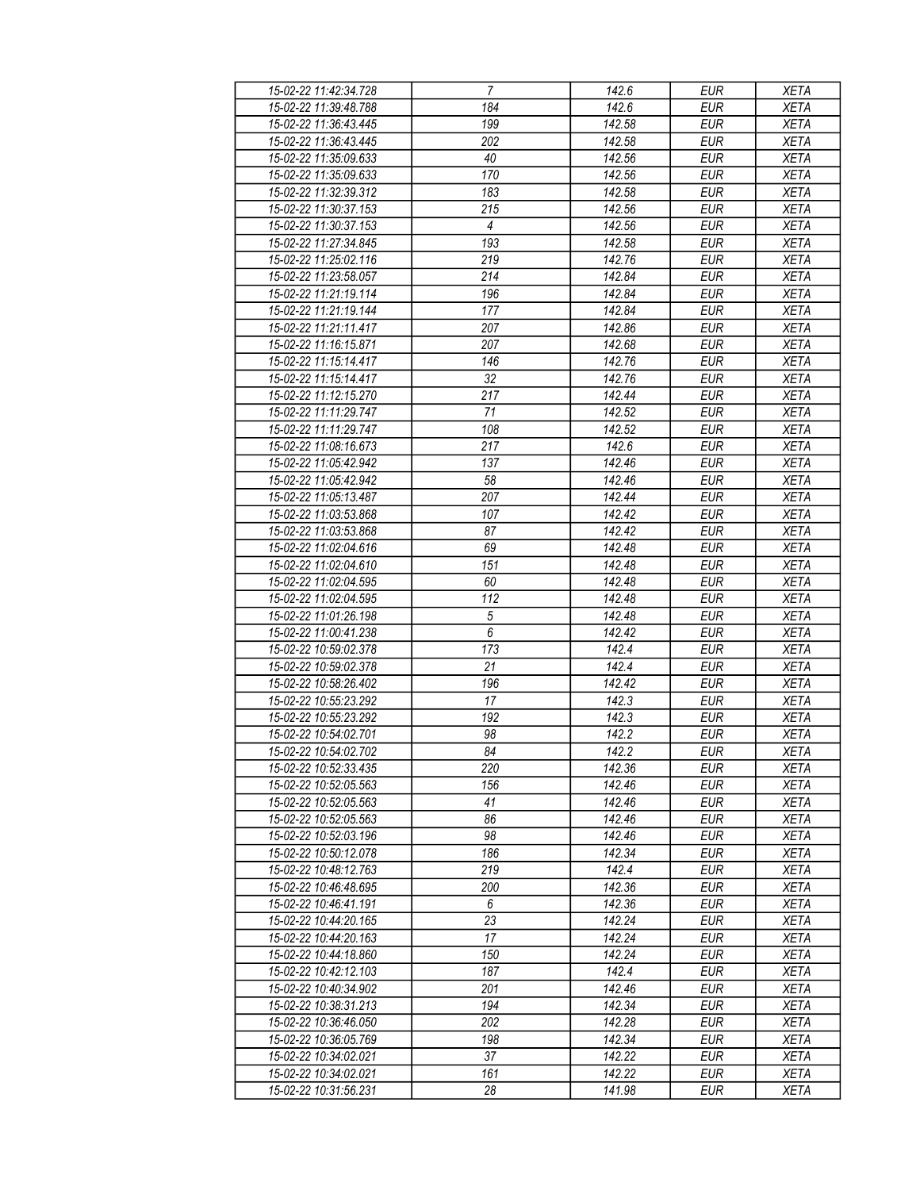| 15-02-22 11:42:34.728 | 7                | 142.6  | EUR        | <b>XETA</b> |
|-----------------------|------------------|--------|------------|-------------|
| 15-02-22 11:39:48.788 | 184              | 142.6  | <b>EUR</b> | <b>XETA</b> |
| 15-02-22 11:36:43.445 | $\overline{199}$ | 142.58 | <b>EUR</b> | <b>XETA</b> |
| 15-02-22 11:36:43.445 | 202              | 142.58 | <b>EUR</b> | <b>XETA</b> |
| 15-02-22 11:35:09.633 | 40               | 142.56 | <b>EUR</b> | <b>XETA</b> |
| 15-02-22 11:35:09.633 | 170              | 142.56 | <b>EUR</b> | <b>XETA</b> |
| 15-02-22 11:32:39.312 | 183              | 142.58 | <b>EUR</b> | <b>XETA</b> |
| 15-02-22 11:30:37.153 | 215              | 142.56 | <b>EUR</b> | <b>XETA</b> |
|                       | 4                |        |            |             |
| 15-02-22 11:30:37.153 |                  | 142.56 | <b>EUR</b> | <b>XETA</b> |
| 15-02-22 11:27:34.845 | 193              | 142.58 | <b>EUR</b> | <b>XETA</b> |
| 15-02-22 11:25:02.116 | 219              | 142.76 | <b>EUR</b> | <b>XETA</b> |
| 15-02-22 11:23:58.057 | 214              | 142.84 | <b>EUR</b> | <b>XETA</b> |
| 15-02-22 11:21:19.114 | 196              | 142.84 | <b>EUR</b> | <b>XETA</b> |
| 15-02-22 11:21:19.144 | 177              | 142.84 | <b>EUR</b> | <b>XETA</b> |
| 15-02-22 11:21:11.417 | 207              | 142.86 | <b>EUR</b> | <b>XETA</b> |
| 15-02-22 11:16:15.871 | 207              | 142.68 | <b>EUR</b> | <b>XETA</b> |
| 15-02-22 11:15:14.417 | 146              | 142.76 | <b>EUR</b> | <b>XETA</b> |
| 15-02-22 11:15:14.417 | 32               | 142.76 | <b>EUR</b> | <b>XETA</b> |
| 15-02-22 11:12:15.270 | 217              | 142.44 | <b>EUR</b> | <b>XETA</b> |
| 15-02-22 11:11:29.747 | 71               | 142.52 | <b>EUR</b> | <b>XETA</b> |
| 15-02-22 11:11:29.747 | 108              | 142.52 | <b>EUR</b> | <b>XETA</b> |
| 15-02-22 11:08:16.673 | 217              | 142.6  | <b>EUR</b> | <b>XETA</b> |
| 15-02-22 11:05:42.942 | 137              | 142.46 | <b>EUR</b> | <b>XETA</b> |
| 15-02-22 11:05:42.942 | 58               | 142.46 | <b>EUR</b> | <b>XETA</b> |
| 15-02-22 11:05:13.487 | 207              | 142.44 | <b>EUR</b> | <b>XETA</b> |
| 15-02-22 11:03:53.868 | 107              | 142.42 | <b>EUR</b> | <b>XETA</b> |
| 15-02-22 11:03:53.868 | 87               | 142.42 | <b>EUR</b> | <b>XETA</b> |
| 15-02-22 11:02:04.616 | 69               | 142.48 | <b>EUR</b> | <b>XETA</b> |
| 15-02-22 11:02:04.610 | 151              | 142.48 | <b>EUR</b> | <b>XETA</b> |
| 15-02-22 11:02:04.595 | 60               | 142.48 | <b>EUR</b> | <b>XETA</b> |
| 15-02-22 11:02:04.595 | 112              | 142.48 | <b>EUR</b> | <b>XETA</b> |
| 15-02-22 11:01:26.198 | 5                | 142.48 | <b>EUR</b> | <b>XETA</b> |
| 15-02-22 11:00:41.238 | 6                | 142.42 | <b>EUR</b> | <b>XETA</b> |
| 15-02-22 10:59:02.378 | 173              | 142.4  | <b>EUR</b> | <b>XETA</b> |
| 15-02-22 10:59:02.378 | 21               | 142.4  | <b>EUR</b> | <b>XETA</b> |
| 15-02-22 10:58:26.402 | 196              | 142.42 | <b>EUR</b> | <b>XETA</b> |
| 15-02-22 10:55:23.292 | 17               | 142.3  | <b>EUR</b> | <b>XETA</b> |
| 15-02-22 10:55:23.292 | 192              | 142.3  | <b>EUR</b> | <b>XETA</b> |
| 15-02-22 10:54:02.701 | 98               | 142.2  | <b>EUR</b> | <b>XETA</b> |
| 15-02-22 10:54:02.702 | 84               | 142.2  | <b>EUR</b> | <b>XETA</b> |
|                       |                  |        |            |             |
| 15-02-22 10:52:33.435 | 220              | 142.36 | EUR        | XETA        |
| 15-02-22 10:52:05.563 | 156              | 142.46 | <b>EUR</b> | <b>XETA</b> |
| 15-02-22 10:52:05.563 | 41               | 142.46 | <b>EUR</b> | <b>XETA</b> |
| 15-02-22 10:52:05.563 | 86               | 142.46 | <b>EUR</b> | <b>XETA</b> |
| 15-02-22 10:52:03.196 | 98               | 142.46 | <b>EUR</b> | <b>XETA</b> |
| 15-02-22 10:50:12.078 | 186              | 142.34 | <b>EUR</b> | <b>XETA</b> |
| 15-02-22 10:48:12.763 | 219              | 142.4  | <b>EUR</b> | <b>XETA</b> |
| 15-02-22 10:46:48.695 | 200              | 142.36 | <b>EUR</b> | <b>XETA</b> |
| 15-02-22 10:46:41.191 | 6                | 142.36 | <b>EUR</b> | <b>XETA</b> |
| 15-02-22 10:44:20.165 | 23               | 142.24 | EUR        | <b>XETA</b> |
| 15-02-22 10:44:20.163 | 17               | 142.24 | <b>EUR</b> | <b>XETA</b> |
| 15-02-22 10:44:18.860 | 150              | 142.24 | <b>EUR</b> | <b>XETA</b> |
| 15-02-22 10:42:12.103 | 187              | 142.4  | <b>EUR</b> | <b>XETA</b> |
| 15-02-22 10:40:34.902 | 201              | 142.46 | EUR        | <b>XETA</b> |
| 15-02-22 10:38:31.213 | 194              | 142.34 | EUR        | <b>XETA</b> |
| 15-02-22 10:36:46.050 | 202              | 142.28 | <b>EUR</b> | <b>XETA</b> |
| 15-02-22 10:36:05.769 | 198              | 142.34 | <b>EUR</b> | <b>XETA</b> |
| 15-02-22 10:34:02.021 | 37               | 142.22 | EUR        | XETA        |
| 15-02-22 10:34:02.021 | 161              | 142.22 | EUR        | <b>XETA</b> |
| 15-02-22 10:31:56.231 | 28               | 141.98 | EUR        | <b>XETA</b> |
|                       |                  |        |            |             |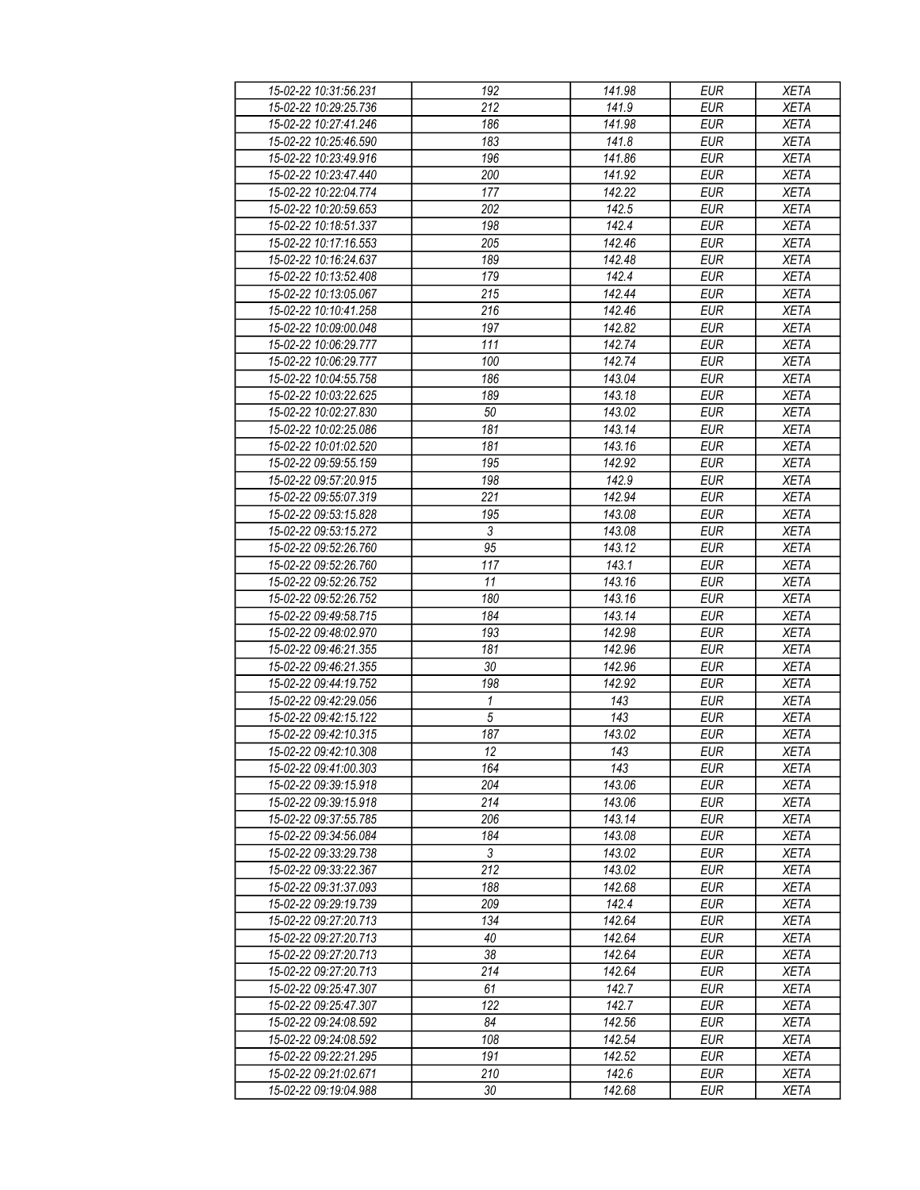| 15-02-22 10:31:56.231 | 192             | 141.98 | <b>EUR</b> | <b>XETA</b> |
|-----------------------|-----------------|--------|------------|-------------|
| 15-02-22 10:29:25.736 | 212             | 141.9  | <b>EUR</b> | <b>XETA</b> |
| 15-02-22 10:27:41.246 | 186             | 141.98 | <b>EUR</b> | <b>XETA</b> |
| 15-02-22 10:25:46.590 | 183             | 141.8  | <b>EUR</b> | <b>XETA</b> |
|                       |                 |        |            |             |
| 15-02-22 10:23:49.916 | 196             | 141.86 | <b>EUR</b> | <b>XETA</b> |
| 15-02-22 10:23:47.440 | 200             | 141.92 | <b>EUR</b> | <b>XETA</b> |
| 15-02-22 10:22:04.774 | 177             | 142.22 | <b>EUR</b> | <b>XETA</b> |
| 15-02-22 10:20:59.653 | 202             | 142.5  | <b>EUR</b> | <b>XETA</b> |
| 15-02-22 10:18:51.337 | 198             | 142.4  | <b>EUR</b> | <b>XETA</b> |
| 15-02-22 10:17:16.553 | 205             | 142.46 | <b>EUR</b> | <b>XETA</b> |
| 15-02-22 10:16:24.637 | 189             | 142.48 | <b>EUR</b> | <b>XETA</b> |
| 15-02-22 10:13:52.408 | 179             | 142.4  | <b>EUR</b> | <b>XETA</b> |
| 15-02-22 10:13:05.067 | 215             | 142.44 | <b>EUR</b> | <b>XETA</b> |
| 15-02-22 10:10:41.258 | 216             | 142.46 | <b>EUR</b> | <b>XETA</b> |
| 15-02-22 10:09:00.048 | 197             | 142.82 | <b>EUR</b> | <b>XETA</b> |
| 15-02-22 10:06:29.777 | 111             | 142.74 | <b>EUR</b> | <b>XETA</b> |
|                       |                 |        |            |             |
| 15-02-22 10:06:29.777 | 100             | 142.74 | <b>EUR</b> | <b>XETA</b> |
| 15-02-22 10:04:55.758 | 186             | 143.04 | <b>EUR</b> | <b>XETA</b> |
| 15-02-22 10:03:22.625 | 189             | 143.18 | <b>EUR</b> | <b>XETA</b> |
| 15-02-22 10:02:27.830 | 50              | 143.02 | <b>EUR</b> | <b>XETA</b> |
| 15-02-22 10:02:25.086 | 181             | 143.14 | <b>EUR</b> | <b>XETA</b> |
| 15-02-22 10:01:02.520 | 181             | 143.16 | <b>EUR</b> | <b>XETA</b> |
| 15-02-22 09:59:55.159 | 195             | 142.92 | <b>EUR</b> | <b>XETA</b> |
| 15-02-22 09:57:20.915 | 198             | 142.9  | <b>EUR</b> | <b>XETA</b> |
| 15-02-22 09:55:07.319 | 221             | 142.94 | <b>EUR</b> | <b>XETA</b> |
| 15-02-22 09:53:15.828 | 195             | 143.08 | <b>EUR</b> | <b>XETA</b> |
| 15-02-22 09:53:15.272 | $\mathfrak{Z}$  | 143.08 | <b>EUR</b> | <b>XETA</b> |
| 15-02-22 09:52:26.760 | $\overline{95}$ | 143.12 | <b>EUR</b> | <b>XETA</b> |
|                       |                 |        |            |             |
| 15-02-22 09:52:26.760 | 117             | 143.1  | <b>EUR</b> | <b>XETA</b> |
| 15-02-22 09:52:26.752 | 11              | 143.16 | <b>EUR</b> | <b>XETA</b> |
| 15-02-22 09:52:26.752 | 180             | 143.16 | <b>EUR</b> | <b>XETA</b> |
| 15-02-22 09:49:58.715 | 184             | 143.14 | <b>EUR</b> | <b>XETA</b> |
| 15-02-22 09:48:02.970 | 193             | 142.98 | <b>EUR</b> | <b>XETA</b> |
| 15-02-22 09:46:21.355 | 181             | 142.96 | <b>EUR</b> | <b>XETA</b> |
| 15-02-22 09:46:21.355 | 30              | 142.96 | <b>EUR</b> | <b>XETA</b> |
| 15-02-22 09:44:19.752 | 198             | 142.92 | <b>EUR</b> | <b>XETA</b> |
| 15-02-22 09:42:29.056 | 1               | 143    | <b>EUR</b> | <b>XETA</b> |
| 15-02-22 09:42:15.122 | $\overline{5}$  | 143    | <b>EUR</b> | <b>XETA</b> |
| 15-02-22 09:42:10.315 | 187             | 143.02 | <b>EUR</b> | <b>XETA</b> |
| 15-02-22 09:42:10.308 | 12              | 143    | <b>EUR</b> | <b>XETA</b> |
| 15-02-22 09:41:00.303 | 164             | 143    | EUR        | XETA        |
| 15-02-22 09:39:15.918 | 204             | 143.06 | <b>EUR</b> | <b>XETA</b> |
|                       | 214             | 143.06 | <b>EUR</b> |             |
| 15-02-22 09:39:15.918 |                 |        |            | <b>XETA</b> |
| 15-02-22 09:37:55.785 | 206             | 143.14 | <b>EUR</b> | <b>XETA</b> |
| 15-02-22 09:34:56.084 | 184             | 143.08 | <b>EUR</b> | <b>XETA</b> |
| 15-02-22 09:33:29.738 | $\overline{3}$  | 143.02 | <b>EUR</b> | <b>XETA</b> |
| 15-02-22 09:33:22.367 | 212             | 143.02 | <b>EUR</b> | <b>XETA</b> |
| 15-02-22 09:31:37.093 | 188             | 142.68 | <b>EUR</b> | <b>XETA</b> |
| 15-02-22 09:29:19.739 | 209             | 142.4  | <b>EUR</b> | <b>XETA</b> |
| 15-02-22 09:27:20.713 | 134             | 142.64 | EUR        | <b>XETA</b> |
| 15-02-22 09:27:20.713 | 40              | 142.64 | <b>EUR</b> | <b>XETA</b> |
| 15-02-22 09:27:20.713 | $38\,$          | 142.64 | <b>EUR</b> | <b>XETA</b> |
| 15-02-22 09:27:20.713 | 214             | 142.64 | <b>EUR</b> | <b>XETA</b> |
| 15-02-22 09:25:47.307 | 61              | 142.7  | EUR        | <b>XETA</b> |
| 15-02-22 09:25:47.307 | 122             | 142.7  | <b>EUR</b> | <b>XETA</b> |
| 15-02-22 09:24:08.592 | 84              | 142.56 | <b>EUR</b> | <b>XETA</b> |
|                       |                 |        |            |             |
| 15-02-22 09:24:08.592 | 108             | 142.54 | <b>EUR</b> | <b>XETA</b> |
| 15-02-22 09:22:21.295 | 191             | 142.52 | EUR        | XETA        |
| 15-02-22 09:21:02.671 | 210             | 142.6  | EUR        | <b>XETA</b> |
| 15-02-22 09:19:04.988 | 30              | 142.68 | EUR        | <b>XETA</b> |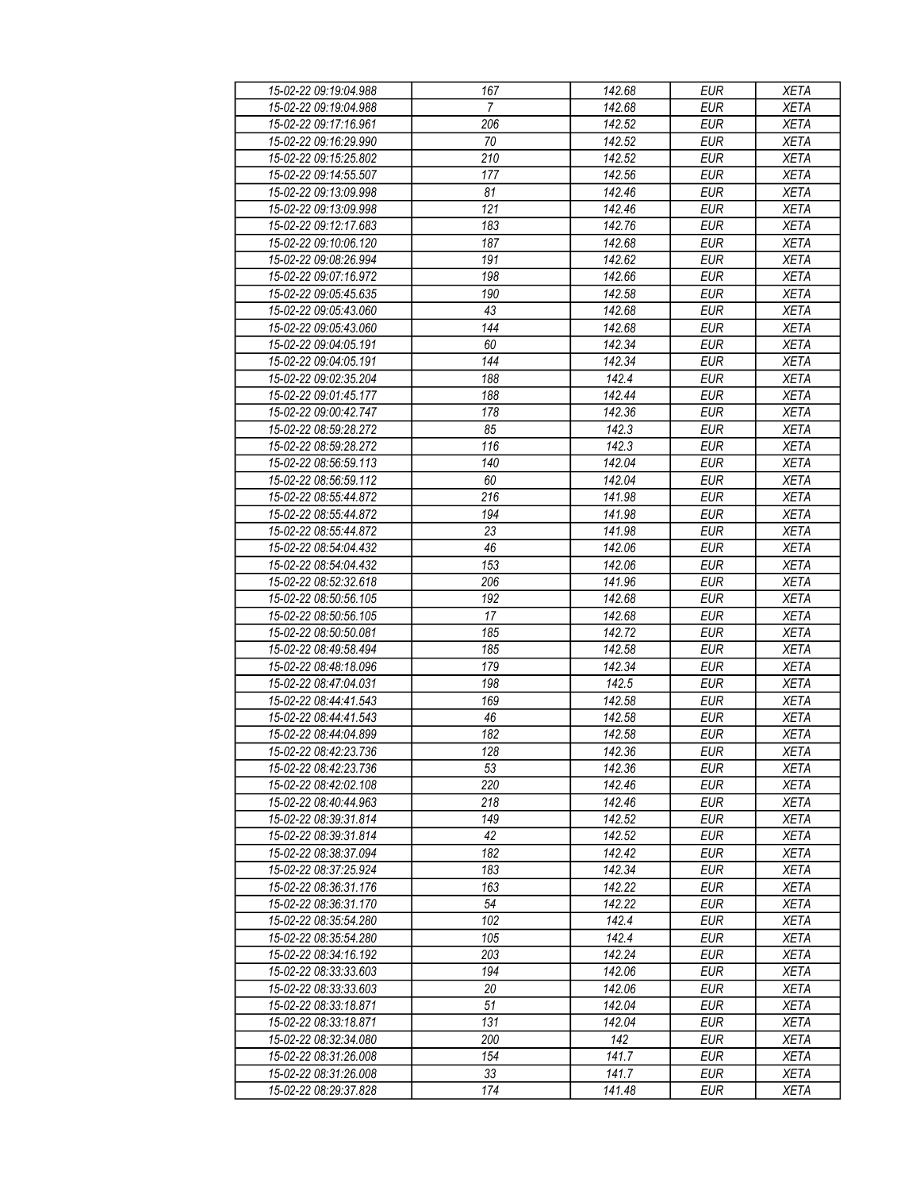| 15-02-22 09:19:04.988 | 167            | 142.68              | <b>EUR</b> | <b>XETA</b> |
|-----------------------|----------------|---------------------|------------|-------------|
| 15-02-22 09:19:04.988 | $\overline{7}$ | 142.68              | <b>EUR</b> | <b>XETA</b> |
| 15-02-22 09:17:16.961 | 206            | 142.52              | <b>EUR</b> | <b>XETA</b> |
| 15-02-22 09:16:29.990 | 70             | 142.52              | <b>EUR</b> | <b>XETA</b> |
| 15-02-22 09:15:25.802 | 210            | 142.52              | <b>EUR</b> | <b>XETA</b> |
| 15-02-22 09:14:55.507 | 177            | 142.56              | <b>EUR</b> | <b>XETA</b> |
| 15-02-22 09:13:09.998 |                | 142.46              | <b>EUR</b> |             |
|                       | 81             |                     |            | <b>XETA</b> |
| 15-02-22 09:13:09.998 | 121            | 142.46              | EUR        | <b>XETA</b> |
| 15-02-22 09:12:17.683 | 183            | 142.76              | <b>EUR</b> | <b>XETA</b> |
| 15-02-22 09:10:06.120 | 187            | 142.68              | <b>EUR</b> | <b>XETA</b> |
| 15-02-22 09:08:26.994 | 191            | 142.62              | <b>EUR</b> | <b>XETA</b> |
| 15-02-22 09:07:16.972 | 198            | 142.66              | <b>EUR</b> | <b>XETA</b> |
| 15-02-22 09:05:45.635 | 190            | 142.58              | <b>EUR</b> | <b>XETA</b> |
| 15-02-22 09:05:43.060 | 43             | 142.68              | <b>EUR</b> | <b>XETA</b> |
| 15-02-22 09:05:43.060 | 144            | 142.68              | <b>EUR</b> | <b>XETA</b> |
| 15-02-22 09:04:05.191 | 60             | 142.34              | <b>EUR</b> | <b>XETA</b> |
| 15-02-22 09:04:05.191 | 144            | 142.34              | <b>EUR</b> | <b>XETA</b> |
| 15-02-22 09:02:35.204 | 188            | 142.4               | <b>EUR</b> | <b>XETA</b> |
| 15-02-22 09:01:45.177 | 188            | 142.44              | <b>EUR</b> | <b>XETA</b> |
| 15-02-22 09:00:42.747 | 178            | 142.36              | <b>EUR</b> | <b>XETA</b> |
| 15-02-22 08:59:28.272 | 85             | 142.3               | <b>EUR</b> | <b>XETA</b> |
| 15-02-22 08:59:28.272 | 116            | 142.3               | <b>EUR</b> | <b>XETA</b> |
|                       |                |                     |            | <b>XETA</b> |
| 15-02-22 08:56:59.113 | 140            | 142.04              | <b>EUR</b> |             |
| 15-02-22 08:56:59.112 | 60             | 142.04              | <b>EUR</b> | <b>XETA</b> |
| 15-02-22 08:55:44.872 | 216            | 141.98              | <b>EUR</b> | <b>XETA</b> |
| 15-02-22 08:55:44.872 | 194            | 141.98              | <b>EUR</b> | <b>XETA</b> |
| 15-02-22 08:55:44.872 | 23             | 141.98              | <b>EUR</b> | <b>XETA</b> |
| 15-02-22 08:54:04.432 | 46             | 142.06              | <b>EUR</b> | <b>XETA</b> |
| 15-02-22 08:54:04.432 | 153            | 142.06              | <b>EUR</b> | <b>XETA</b> |
| 15-02-22 08:52:32.618 | 206            | 141.96              | <b>EUR</b> | <b>XETA</b> |
| 15-02-22 08:50:56.105 | 192            | 142.68              | <b>EUR</b> | <b>XETA</b> |
| 15-02-22 08:50:56.105 | 17             | 142.68              | <b>EUR</b> | <b>XETA</b> |
| 15-02-22 08:50:50.081 | 185            | 142.72              | EUR        | <b>XETA</b> |
| 15-02-22 08:49:58.494 | 185            | 142.58              | <b>EUR</b> | <b>XETA</b> |
| 15-02-22 08:48:18.096 | 179            | 142.34              | <b>EUR</b> | <b>XETA</b> |
| 15-02-22 08:47:04.031 | 198            | 142.5               | <b>EUR</b> | <b>XETA</b> |
| 15-02-22 08:44:41.543 | 169            | 142.58              | <b>EUR</b> | <b>XETA</b> |
| 15-02-22 08:44:41.543 | 46             | 142.58              | <b>EUR</b> | <b>XETA</b> |
| 15-02-22 08:44:04.899 | 182            | 142.58              | <b>EUR</b> | <b>XETA</b> |
| 15-02-22 08:42:23.736 | 128            | $\overline{142.36}$ | <b>EUR</b> | <b>XETA</b> |
| 15-02-22 08:42:23.736 | 53             |                     | EUR        |             |
|                       |                | 142.36              | <b>EUR</b> | XETA        |
| 15-02-22 08:42:02.108 | 220            | 142.46              |            | <b>XETA</b> |
| 15-02-22 08:40:44.963 | 218            | 142.46              | <b>EUR</b> | <b>XETA</b> |
| 15-02-22 08:39:31.814 | 149            | 142.52              | <b>EUR</b> | <b>XETA</b> |
| 15-02-22 08:39:31.814 | 42             | 142.52              | <b>EUR</b> | <b>XETA</b> |
| 15-02-22 08:38:37.094 | 182            | 142.42              | <b>EUR</b> | <b>XETA</b> |
| 15-02-22 08:37:25.924 | 183            | 142.34              | <b>EUR</b> | <b>XETA</b> |
| 15-02-22 08:36:31.176 | 163            | 142.22              | <b>EUR</b> | <b>XETA</b> |
| 15-02-22 08:36:31.170 | 54             | 142.22              | <b>EUR</b> | <b>XETA</b> |
| 15-02-22 08:35:54.280 | 102            | 142.4               | <b>EUR</b> | <b>XETA</b> |
| 15-02-22 08:35:54.280 | 105            | 142.4               | <b>EUR</b> | <b>XETA</b> |
| 15-02-22 08:34:16.192 | 203            | 142.24              | <b>EUR</b> | <b>XETA</b> |
| 15-02-22 08:33:33.603 | 194            | 142.06              | <b>EUR</b> | <b>XETA</b> |
| 15-02-22 08:33:33.603 | 20             | 142.06              | EUR        | <b>XETA</b> |
| 15-02-22 08:33:18.871 | 51             | 142.04              | <b>EUR</b> | <b>XETA</b> |
| 15-02-22 08:33:18.871 | 131            | 142.04              | <b>EUR</b> | <b>XETA</b> |
| 15-02-22 08:32:34.080 | 200            | 142                 | <b>EUR</b> | <b>XETA</b> |
| 15-02-22 08:31:26.008 | 154            | 141.7               | EUR        | XETA        |
|                       |                |                     |            |             |
| 15-02-22 08:31:26.008 | 33             | 141.7               | EUR        | <b>XETA</b> |
| 15-02-22 08:29:37.828 | 174            | 141.48              | EUR        | XETA        |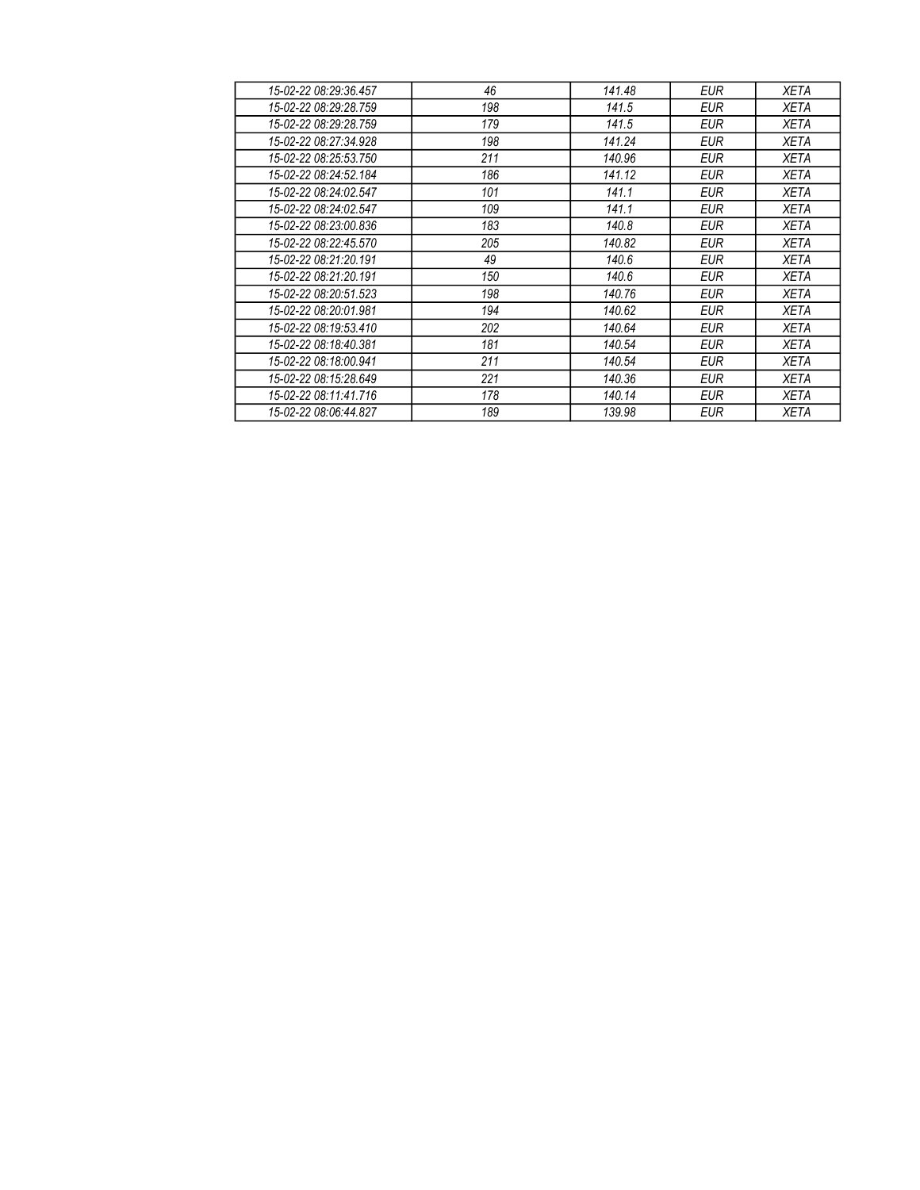| 15-02-22 08:29:36.457 | 46  | 141.48 | EUR        | <b>XETA</b> |
|-----------------------|-----|--------|------------|-------------|
| 15-02-22 08:29:28.759 | 198 | 141.5  | <b>EUR</b> | <b>XETA</b> |
| 15-02-22 08:29:28.759 | 179 | 141.5  | EUR        | XETA        |
| 15-02-22 08:27:34.928 | 198 | 141.24 | <b>EUR</b> | <b>XETA</b> |
| 15-02-22 08:25:53.750 | 211 | 140.96 | EUR        | <b>XETA</b> |
| 15-02-22 08:24:52.184 | 186 | 141.12 | <b>EUR</b> | XETA        |
| 15-02-22 08:24:02.547 | 101 | 141.1  | EUR        | XETA        |
| 15-02-22 08:24:02.547 | 109 | 141.1  | <b>EUR</b> | <b>XETA</b> |
| 15-02-22 08:23:00.836 | 183 | 140.8  | EUR        | <b>XETA</b> |
| 15-02-22 08:22:45.570 | 205 | 140.82 | <b>EUR</b> | <b>XETA</b> |
| 15-02-22 08:21:20.191 | 49  | 140.6  | <b>EUR</b> | <b>XETA</b> |
| 15-02-22 08:21:20.191 | 150 | 140.6  | EUR        | <b>XETA</b> |
| 15-02-22 08:20:51.523 | 198 | 140.76 | EUR        | <b>XETA</b> |
| 15-02-22 08:20:01.981 | 194 | 140.62 | EUR        | XETA        |
| 15-02-22 08:19:53.410 | 202 | 140.64 | EUR        | XETA        |
| 15-02-22 08:18:40.381 | 181 | 140.54 | EUR        | <b>XETA</b> |
| 15-02-22 08:18:00.941 | 211 | 140.54 | <b>EUR</b> | XETA        |
| 15-02-22 08:15:28.649 | 221 | 140.36 | EUR        | <b>XETA</b> |
| 15-02-22 08:11:41.716 | 178 | 140.14 | EUR        | <b>XETA</b> |
| 15-02-22 08:06:44.827 | 189 | 139.98 | <b>EUR</b> | <b>XETA</b> |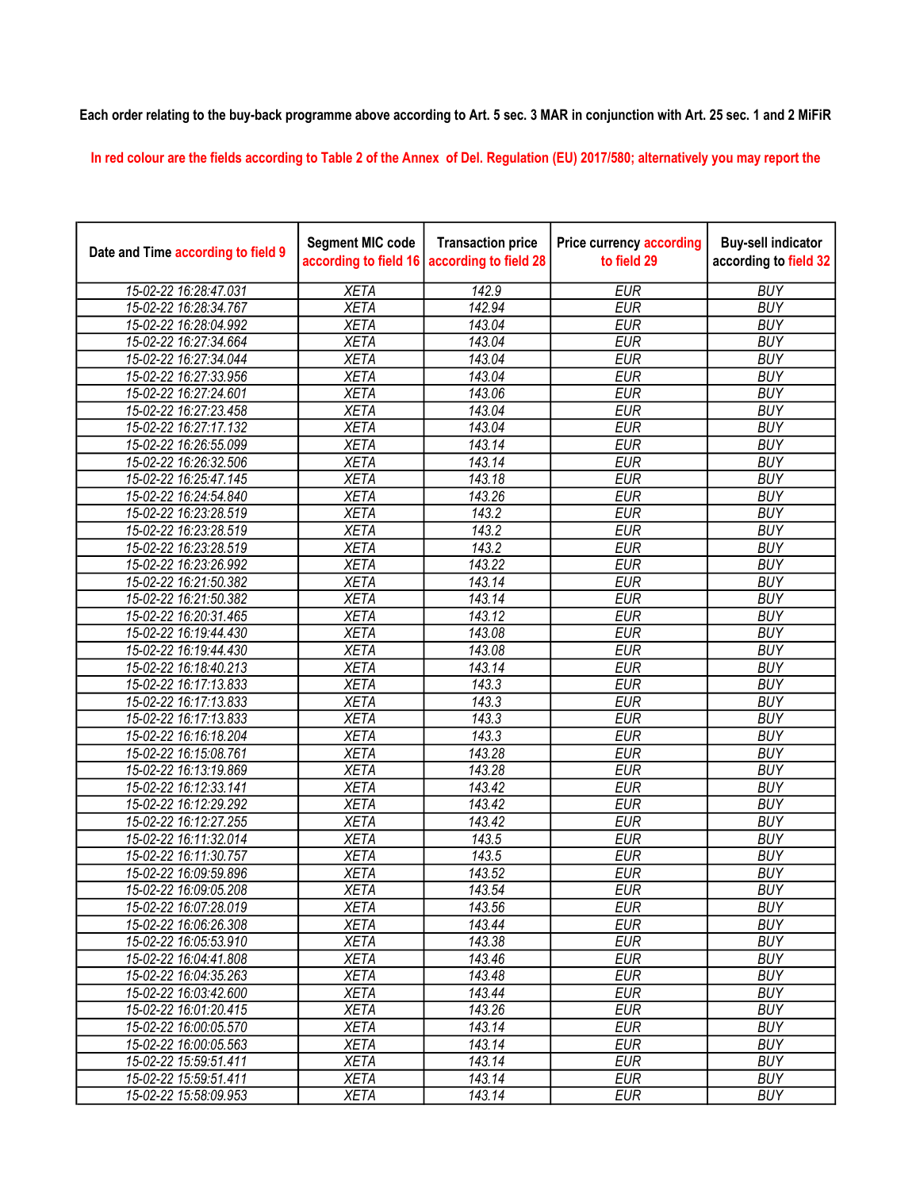## Each order relating to the buy-back programme above according to Art. 5 sec. 3 MAR in conjunction with Art. 25 sec. 1 and 2 MiFiR

In red colour are the fields according to Table 2 of the Annex of Del. Regulation (EU) 2017/580; alternatively you may report the

| Date and Time according to field 9 | <b>Segment MIC code</b><br>according to field 16 | <b>Transaction price</b><br>according to field 28 | <b>Price currency according</b><br>to field 29 | <b>Buy-sell indicator</b><br>according to field 32 |
|------------------------------------|--------------------------------------------------|---------------------------------------------------|------------------------------------------------|----------------------------------------------------|
| 15-02-22 16:28:47.031              | <b>XETA</b>                                      | 142.9                                             | <b>EUR</b>                                     | <b>BUY</b>                                         |
| 15-02-22 16:28:34.767              | <b>XETA</b>                                      | 142.94                                            | <b>EUR</b>                                     | <b>BUY</b>                                         |
| 15-02-22 16:28:04.992              | <b>XETA</b>                                      | 143.04                                            | <b>EUR</b>                                     | <b>BUY</b>                                         |
| 15-02-22 16:27:34.664              | <b>XETA</b>                                      | 143.04                                            | <b>EUR</b>                                     | <b>BUY</b>                                         |
| 15-02-22 16:27:34.044              | <b>XETA</b>                                      | 143.04                                            | <b>EUR</b>                                     | <b>BUY</b>                                         |
| 15-02-22 16:27:33.956              | <b>XETA</b>                                      | 143.04                                            | <b>EUR</b>                                     | <b>BUY</b>                                         |
| 15-02-22 16:27:24.601              | <b>XETA</b>                                      | 143.06                                            | <b>EUR</b>                                     | <b>BUY</b>                                         |
| 15-02-22 16:27:23.458              | <b>XETA</b>                                      | 143.04                                            | <b>EUR</b>                                     | <b>BUY</b>                                         |
| 15-02-22 16:27:17.132              | <b>XETA</b>                                      | 143.04                                            | <b>EUR</b>                                     | <b>BUY</b>                                         |
| 15-02-22 16:26:55.099              | <b>XETA</b>                                      | 143.14                                            | <b>EUR</b>                                     | <b>BUY</b>                                         |
| 15-02-22 16:26:32.506              | <b>XETA</b>                                      | 143.14                                            | <b>EUR</b>                                     | <b>BUY</b>                                         |
| 15-02-22 16:25:47.145              | <b>XETA</b>                                      | 143.18                                            | <b>EUR</b>                                     | <b>BUY</b>                                         |
| 15-02-22 16:24:54.840              | <b>XETA</b>                                      | 143.26                                            | <b>EUR</b>                                     | <b>BUY</b>                                         |
| 15-02-22 16:23:28.519              | <b>XETA</b>                                      | 143.2                                             | <b>EUR</b>                                     | <b>BUY</b>                                         |
| 15-02-22 16:23:28.519              | <b>XETA</b>                                      | 143.2                                             | <b>EUR</b>                                     | <b>BUY</b>                                         |
| 15-02-22 16:23:28.519              | <b>XETA</b>                                      | 143.2                                             | <b>EUR</b>                                     | <b>BUY</b>                                         |
| 15-02-22 16:23:26.992              | <b>XETA</b>                                      | 143.22                                            | <b>EUR</b>                                     | <b>BUY</b>                                         |
| 15-02-22 16:21:50.382              | <b>XETA</b>                                      | 143.14                                            | <b>EUR</b>                                     | <b>BUY</b>                                         |
| 15-02-22 16:21:50.382              | <b>XETA</b>                                      | 143.14                                            | <b>EUR</b>                                     | <b>BUY</b>                                         |
| 15-02-22 16:20:31.465              | <b>XETA</b>                                      | 143.12                                            | <b>EUR</b>                                     | <b>BUY</b>                                         |
| 15-02-22 16:19:44.430              | <b>XETA</b>                                      | 143.08                                            | <b>EUR</b>                                     | <b>BUY</b>                                         |
| 15-02-22 16:19:44.430              | <b>XETA</b>                                      | 143.08                                            | <b>EUR</b>                                     | <b>BUY</b>                                         |
| 15-02-22 16:18:40.213              | <b>XETA</b>                                      | $\overline{143.14}$                               | <b>EUR</b>                                     | <b>BUY</b>                                         |
| 15-02-22 16:17:13.833              | <b>XETA</b>                                      | 143.3                                             | <b>EUR</b>                                     | <b>BUY</b>                                         |
| 15-02-22 16:17:13.833              | <b>XETA</b>                                      | 143.3                                             | <b>EUR</b>                                     | <b>BUY</b>                                         |
| 15-02-22 16:17:13.833              | <b>XETA</b>                                      | 143.3                                             | <b>EUR</b>                                     | <b>BUY</b>                                         |
| 15-02-22 16:16:18.204              | <b>XETA</b>                                      | 143.3                                             | <b>EUR</b>                                     | <b>BUY</b>                                         |
| 15-02-22 16:15:08.761              | <b>XETA</b>                                      | 143.28                                            | <b>EUR</b>                                     | <b>BUY</b>                                         |
| 15-02-22 16:13:19.869              | <b>XETA</b>                                      | 143.28                                            | <b>EUR</b>                                     | <b>BUY</b>                                         |
| 15-02-22 16:12:33.141              | <b>XETA</b>                                      | 143.42                                            | <b>EUR</b>                                     | <b>BUY</b>                                         |
| 15-02-22 16:12:29.292              | <b>XETA</b>                                      | 143.42                                            | <b>EUR</b>                                     | <b>BUY</b>                                         |
| 15-02-22 16:12:27.255              | <b>XETA</b>                                      | 143.42                                            | <b>EUR</b>                                     | <b>BUY</b>                                         |
| 15-02-22 16:11:32.014              | <b>XETA</b>                                      | 143.5                                             | <b>EUR</b>                                     | <b>BUY</b>                                         |
| 15-02-22 16:11:30.757              | <b>XETA</b>                                      | 143.5                                             | <b>EUR</b>                                     | <b>BUY</b>                                         |
| 15-02-22 16:09:59.896              | <b>XETA</b>                                      | 143.52                                            | <b>EUR</b>                                     | <b>BUY</b>                                         |
| 15-02-22 16:09:05.208              | <b>XETA</b>                                      | 143.54                                            | <b>EUR</b>                                     | <b>BUY</b>                                         |
| 15-02-22 16:07:28.019              | XETA                                             | 143.56                                            | EUR                                            | <b>BUY</b>                                         |
| 15-02-22 16:06:26.308              | <b>XETA</b>                                      | 143.44                                            | <b>EUR</b>                                     | <b>BUY</b>                                         |
| 15-02-22 16:05:53.910              | <b>XETA</b>                                      | 143.38                                            | <b>EUR</b>                                     | <b>BUY</b>                                         |
| 15-02-22 16:04:41.808              | <b>XETA</b>                                      | 143.46                                            | <b>EUR</b>                                     | <b>BUY</b>                                         |
| 15-02-22 16:04:35.263              | <b>XETA</b>                                      | 143.48                                            | <b>EUR</b>                                     | <b>BUY</b>                                         |
| 15-02-22 16:03:42.600              | <b>XETA</b>                                      | 143.44                                            | <b>EUR</b>                                     | <b>BUY</b>                                         |
| 15-02-22 16:01:20.415              | <b>XETA</b>                                      | 143.26                                            | <b>EUR</b>                                     | <b>BUY</b>                                         |
| 15-02-22 16:00:05.570              | <b>XETA</b>                                      | 143.14                                            | <b>EUR</b>                                     | <b>BUY</b>                                         |
| 15-02-22 16:00:05.563              | <b>XETA</b>                                      | 143.14                                            | <b>EUR</b>                                     | <b>BUY</b>                                         |
| 15-02-22 15:59:51.411              | <b>XETA</b>                                      | 143.14                                            | <b>EUR</b>                                     | <b>BUY</b>                                         |
| 15-02-22 15:59:51.411              | <b>XETA</b>                                      | 143.14                                            | EUR                                            | <b>BUY</b>                                         |
| 15-02-22 15:58:09.953              | <b>XETA</b>                                      | 143.14                                            | <b>EUR</b>                                     | <b>BUY</b>                                         |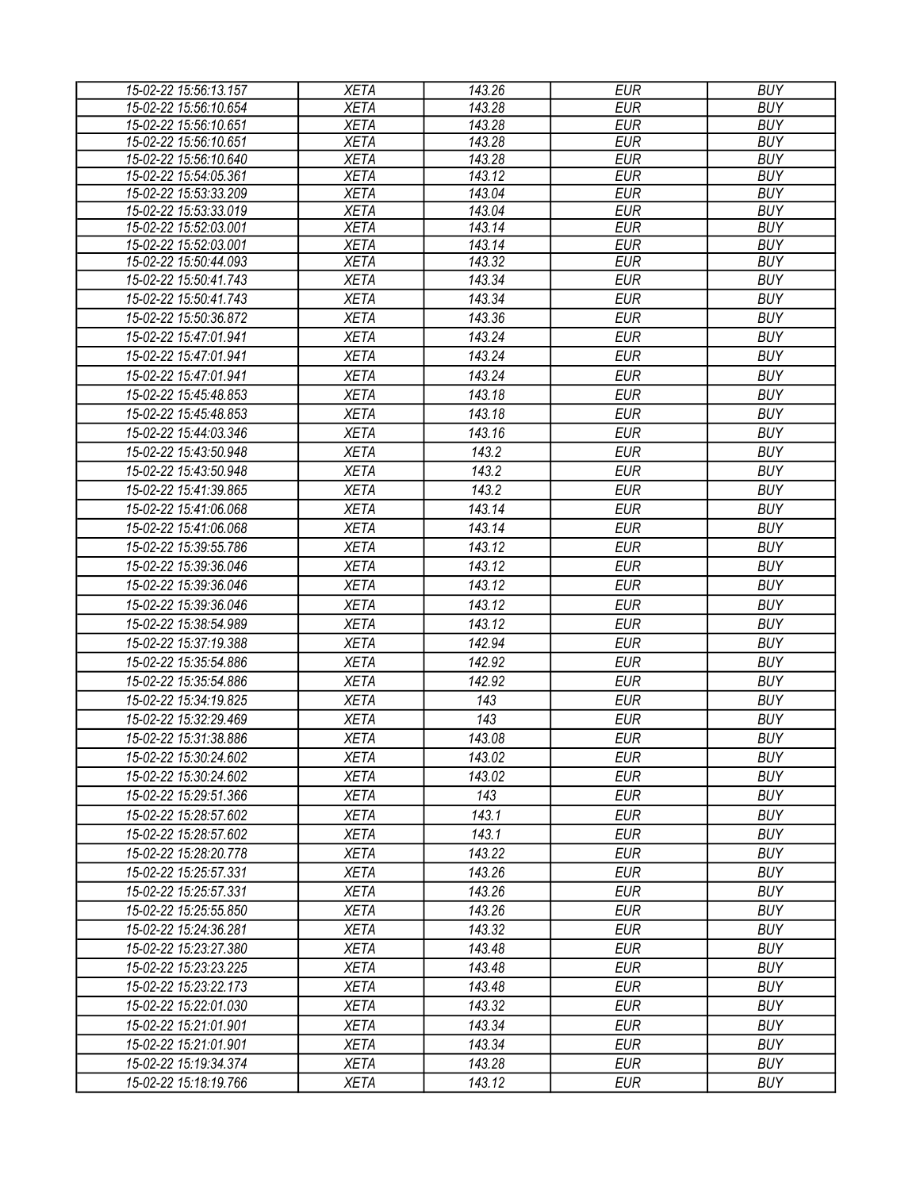| 143.28<br><b>EUR</b><br>15-02-22 15:56:10.654<br><b>XETA</b><br><b>BUY</b><br>$\overline{143.28}$<br><b>EUR</b><br><b>BUY</b><br>15-02-22 15:56:10.651<br><b>XETA</b><br>15-02-22 15:56:10.651<br><b>XETA</b><br>143.28<br><b>EUR</b><br><b>BUY</b><br><b>XETA</b><br>15-02-22 15:56:10.640<br>143.28<br><b>EUR</b><br><b>BUY</b><br>15-02-22 15:54:05.361<br><b>XETA</b><br><b>EUR</b><br><b>BUY</b><br>143.12<br>15-02-22 15:53:33.209<br><b>XETA</b><br>143.04<br><b>EUR</b><br><b>BUY</b><br>15-02-22 15:53:33.019<br>143.04<br><b>EUR</b><br><b>BUY</b><br><b>XETA</b><br>15-02-22 15:52:03.001<br><b>XETA</b><br>143.14<br><b>EUR</b><br><b>BUY</b><br>15-02-22 15:52:03.001<br><b>XETA</b><br>143.14<br><b>EUR</b><br><b>BUY</b><br><b>EUR</b><br><b>XETA</b><br>143.32<br><b>BUY</b><br>15-02-22 15:50:44.093<br><b>EUR</b><br><b>BUY</b><br><b>XETA</b><br>143.34<br>15-02-22 15:50:41.743<br><b>XETA</b><br><b>EUR</b><br>15-02-22 15:50:41.743<br>143.34<br><b>BUY</b><br>15-02-22 15:50:36.872<br><b>XETA</b><br>143.36<br><b>EUR</b><br><b>BUY</b><br>15-02-22 15:47:01.941<br><b>XETA</b><br>143.24<br><b>EUR</b><br><b>BUY</b><br><b>EUR</b><br><b>BUY</b><br>15-02-22 15:47:01.941<br><b>XETA</b><br>143.24<br>15-02-22 15:47:01.941<br><b>XETA</b><br>143.24<br><b>EUR</b><br><b>BUY</b><br>143.18<br><b>EUR</b><br><b>BUY</b><br>15-02-22 15:45:48.853<br><b>XETA</b><br>143.18<br><b>EUR</b><br>15-02-22 15:45:48.853<br><b>XETA</b><br><b>BUY</b><br><b>EUR</b><br><b>XETA</b><br>143.16<br><b>BUY</b><br>15-02-22 15:44:03.346<br><b>XETA</b><br>143.2<br><b>EUR</b><br><b>BUY</b><br>15-02-22 15:43:50.948<br><b>XETA</b><br>143.2<br><b>EUR</b><br><b>BUY</b><br>15-02-22 15:43:50.948<br>143.2<br>15-02-22 15:41:39.865<br><b>XETA</b><br><b>EUR</b><br><b>BUY</b><br>143.14<br>15-02-22 15:41:06.068<br><b>XETA</b><br><b>EUR</b><br><b>BUY</b><br><b>EUR</b><br><b>BUY</b><br>15-02-22 15:41:06.068<br><b>XETA</b><br>143.14<br>143.12<br>15-02-22 15:39:55.786<br><b>XETA</b><br><b>EUR</b><br><b>BUY</b><br>143.12<br><b>EUR</b><br><b>BUY</b><br>15-02-22 15:39:36.046<br><b>XETA</b><br>15-02-22 15:39:36.046<br><b>XETA</b><br>143.12<br><b>EUR</b><br><b>BUY</b><br>143.12<br><b>EUR</b><br><b>BUY</b><br>15-02-22 15:39:36.046<br><b>XETA</b><br>15-02-22 15:38:54.989<br>143.12<br><b>EUR</b><br><b>BUY</b><br><b>XETA</b><br>15-02-22 15:37:19.388<br><b>XETA</b><br>142.94<br><b>EUR</b><br><b>BUY</b><br>15-02-22 15:35:54.886<br><b>XETA</b><br>142.92<br><b>EUR</b><br><b>BUY</b><br><b>EUR</b><br><b>BUY</b><br>15-02-22 15:35:54.886<br><b>XETA</b><br>142.92<br>15-02-22 15:34:19.825<br><b>BUY</b><br><b>XETA</b><br>143<br><b>EUR</b><br>15-02-22 15:32:29.469<br><b>XETA</b><br>143<br><b>EUR</b><br><b>BUY</b><br><b>XETA</b><br>143.08<br><b>EUR</b><br>15-02-22 15:31:38.886<br><b>BUY</b><br><b>XETA</b><br>143.02<br>15-02-22 15:30:24.602<br><b>EUR</b><br><b>BUY</b><br><b>XETA</b><br>143.02<br>EUR<br><b>BUY</b><br>15-02-22 15:30:24.602<br><b>EUR</b><br><b>BUY</b><br>15-02-22 15:29:51.366<br><b>XETA</b><br>143<br>143.1<br><b>EUR</b><br><b>BUY</b><br>15-02-22 15:28:57.602<br><b>XETA</b><br>143.1<br><b>EUR</b><br><b>BUY</b><br>15-02-22 15:28:57.602<br><b>XETA</b><br><b>XETA</b><br>143.22<br><b>EUR</b><br><b>BUY</b><br>15-02-22 15:28:20.778<br><b>BUY</b><br><b>XETA</b><br>143.26<br><b>EUR</b><br>15-02-22 15:25:57.331<br><b>XETA</b><br>143.26<br><b>EUR</b><br><b>BUY</b><br>15-02-22 15:25:57.331<br><b>EUR</b><br><b>BUY</b><br>15-02-22 15:25:55.850<br><b>XETA</b><br>143.26<br><b>XETA</b><br><b>EUR</b><br>15-02-22 15:24:36.281<br>143.32<br><b>BUY</b><br><b>BUY</b><br>15-02-22 15:23:27.380<br><b>XETA</b><br>143.48<br><b>EUR</b><br>143.48<br><b>EUR</b><br><b>BUY</b><br>15-02-22 15:23:23.225<br><b>XETA</b><br>143.48<br><b>EUR</b><br><b>BUY</b><br>15-02-22 15:23:22.173<br><b>XETA</b><br>143.32<br><b>EUR</b><br><b>BUY</b><br>15-02-22 15:22:01.030<br><b>XETA</b><br><b>XETA</b><br>143.34<br><b>EUR</b><br><b>BUY</b><br>15-02-22 15:21:01.901<br><b>BUY</b><br><b>XETA</b><br>143.34<br><b>EUR</b><br>15-02-22 15:21:01.901<br>143.28<br><b>EUR</b><br><b>BUY</b><br>15-02-22 15:19:34.374<br><b>XETA</b><br><b>EUR</b><br>15-02-22 15:18:19.766<br><b>XETA</b><br>143.12<br><b>BUY</b> | 15-02-22 15:56:13.157 | <b>XETA</b> | 143.26 | <b>EUR</b> | <b>BUY</b> |
|--------------------------------------------------------------------------------------------------------------------------------------------------------------------------------------------------------------------------------------------------------------------------------------------------------------------------------------------------------------------------------------------------------------------------------------------------------------------------------------------------------------------------------------------------------------------------------------------------------------------------------------------------------------------------------------------------------------------------------------------------------------------------------------------------------------------------------------------------------------------------------------------------------------------------------------------------------------------------------------------------------------------------------------------------------------------------------------------------------------------------------------------------------------------------------------------------------------------------------------------------------------------------------------------------------------------------------------------------------------------------------------------------------------------------------------------------------------------------------------------------------------------------------------------------------------------------------------------------------------------------------------------------------------------------------------------------------------------------------------------------------------------------------------------------------------------------------------------------------------------------------------------------------------------------------------------------------------------------------------------------------------------------------------------------------------------------------------------------------------------------------------------------------------------------------------------------------------------------------------------------------------------------------------------------------------------------------------------------------------------------------------------------------------------------------------------------------------------------------------------------------------------------------------------------------------------------------------------------------------------------------------------------------------------------------------------------------------------------------------------------------------------------------------------------------------------------------------------------------------------------------------------------------------------------------------------------------------------------------------------------------------------------------------------------------------------------------------------------------------------------------------------------------------------------------------------------------------------------------------------------------------------------------------------------------------------------------------------------------------------------------------------------------------------------------------------------------------------------------------------------------------------------------------------------------------------------------------------------------------------------------------------------------------------------------------------------------------------------------------------------------------------------------------------------------------------------------------------------------------------------------------------------------------------------------------------------------------------------------------------------------------------------------------------------------------------------------------------------------------------------------------------------------------------------------------------------------------------------------------------------------------------------------------------|-----------------------|-------------|--------|------------|------------|
|                                                                                                                                                                                                                                                                                                                                                                                                                                                                                                                                                                                                                                                                                                                                                                                                                                                                                                                                                                                                                                                                                                                                                                                                                                                                                                                                                                                                                                                                                                                                                                                                                                                                                                                                                                                                                                                                                                                                                                                                                                                                                                                                                                                                                                                                                                                                                                                                                                                                                                                                                                                                                                                                                                                                                                                                                                                                                                                                                                                                                                                                                                                                                                                                                                                                                                                                                                                                                                                                                                                                                                                                                                                                                                                                                                                                                                                                                                                                                                                                                                                                                                                                                                                                                                                                                            |                       |             |        |            |            |
|                                                                                                                                                                                                                                                                                                                                                                                                                                                                                                                                                                                                                                                                                                                                                                                                                                                                                                                                                                                                                                                                                                                                                                                                                                                                                                                                                                                                                                                                                                                                                                                                                                                                                                                                                                                                                                                                                                                                                                                                                                                                                                                                                                                                                                                                                                                                                                                                                                                                                                                                                                                                                                                                                                                                                                                                                                                                                                                                                                                                                                                                                                                                                                                                                                                                                                                                                                                                                                                                                                                                                                                                                                                                                                                                                                                                                                                                                                                                                                                                                                                                                                                                                                                                                                                                                            |                       |             |        |            |            |
|                                                                                                                                                                                                                                                                                                                                                                                                                                                                                                                                                                                                                                                                                                                                                                                                                                                                                                                                                                                                                                                                                                                                                                                                                                                                                                                                                                                                                                                                                                                                                                                                                                                                                                                                                                                                                                                                                                                                                                                                                                                                                                                                                                                                                                                                                                                                                                                                                                                                                                                                                                                                                                                                                                                                                                                                                                                                                                                                                                                                                                                                                                                                                                                                                                                                                                                                                                                                                                                                                                                                                                                                                                                                                                                                                                                                                                                                                                                                                                                                                                                                                                                                                                                                                                                                                            |                       |             |        |            |            |
|                                                                                                                                                                                                                                                                                                                                                                                                                                                                                                                                                                                                                                                                                                                                                                                                                                                                                                                                                                                                                                                                                                                                                                                                                                                                                                                                                                                                                                                                                                                                                                                                                                                                                                                                                                                                                                                                                                                                                                                                                                                                                                                                                                                                                                                                                                                                                                                                                                                                                                                                                                                                                                                                                                                                                                                                                                                                                                                                                                                                                                                                                                                                                                                                                                                                                                                                                                                                                                                                                                                                                                                                                                                                                                                                                                                                                                                                                                                                                                                                                                                                                                                                                                                                                                                                                            |                       |             |        |            |            |
|                                                                                                                                                                                                                                                                                                                                                                                                                                                                                                                                                                                                                                                                                                                                                                                                                                                                                                                                                                                                                                                                                                                                                                                                                                                                                                                                                                                                                                                                                                                                                                                                                                                                                                                                                                                                                                                                                                                                                                                                                                                                                                                                                                                                                                                                                                                                                                                                                                                                                                                                                                                                                                                                                                                                                                                                                                                                                                                                                                                                                                                                                                                                                                                                                                                                                                                                                                                                                                                                                                                                                                                                                                                                                                                                                                                                                                                                                                                                                                                                                                                                                                                                                                                                                                                                                            |                       |             |        |            |            |
|                                                                                                                                                                                                                                                                                                                                                                                                                                                                                                                                                                                                                                                                                                                                                                                                                                                                                                                                                                                                                                                                                                                                                                                                                                                                                                                                                                                                                                                                                                                                                                                                                                                                                                                                                                                                                                                                                                                                                                                                                                                                                                                                                                                                                                                                                                                                                                                                                                                                                                                                                                                                                                                                                                                                                                                                                                                                                                                                                                                                                                                                                                                                                                                                                                                                                                                                                                                                                                                                                                                                                                                                                                                                                                                                                                                                                                                                                                                                                                                                                                                                                                                                                                                                                                                                                            |                       |             |        |            |            |
|                                                                                                                                                                                                                                                                                                                                                                                                                                                                                                                                                                                                                                                                                                                                                                                                                                                                                                                                                                                                                                                                                                                                                                                                                                                                                                                                                                                                                                                                                                                                                                                                                                                                                                                                                                                                                                                                                                                                                                                                                                                                                                                                                                                                                                                                                                                                                                                                                                                                                                                                                                                                                                                                                                                                                                                                                                                                                                                                                                                                                                                                                                                                                                                                                                                                                                                                                                                                                                                                                                                                                                                                                                                                                                                                                                                                                                                                                                                                                                                                                                                                                                                                                                                                                                                                                            |                       |             |        |            |            |
|                                                                                                                                                                                                                                                                                                                                                                                                                                                                                                                                                                                                                                                                                                                                                                                                                                                                                                                                                                                                                                                                                                                                                                                                                                                                                                                                                                                                                                                                                                                                                                                                                                                                                                                                                                                                                                                                                                                                                                                                                                                                                                                                                                                                                                                                                                                                                                                                                                                                                                                                                                                                                                                                                                                                                                                                                                                                                                                                                                                                                                                                                                                                                                                                                                                                                                                                                                                                                                                                                                                                                                                                                                                                                                                                                                                                                                                                                                                                                                                                                                                                                                                                                                                                                                                                                            |                       |             |        |            |            |
|                                                                                                                                                                                                                                                                                                                                                                                                                                                                                                                                                                                                                                                                                                                                                                                                                                                                                                                                                                                                                                                                                                                                                                                                                                                                                                                                                                                                                                                                                                                                                                                                                                                                                                                                                                                                                                                                                                                                                                                                                                                                                                                                                                                                                                                                                                                                                                                                                                                                                                                                                                                                                                                                                                                                                                                                                                                                                                                                                                                                                                                                                                                                                                                                                                                                                                                                                                                                                                                                                                                                                                                                                                                                                                                                                                                                                                                                                                                                                                                                                                                                                                                                                                                                                                                                                            |                       |             |        |            |            |
|                                                                                                                                                                                                                                                                                                                                                                                                                                                                                                                                                                                                                                                                                                                                                                                                                                                                                                                                                                                                                                                                                                                                                                                                                                                                                                                                                                                                                                                                                                                                                                                                                                                                                                                                                                                                                                                                                                                                                                                                                                                                                                                                                                                                                                                                                                                                                                                                                                                                                                                                                                                                                                                                                                                                                                                                                                                                                                                                                                                                                                                                                                                                                                                                                                                                                                                                                                                                                                                                                                                                                                                                                                                                                                                                                                                                                                                                                                                                                                                                                                                                                                                                                                                                                                                                                            |                       |             |        |            |            |
|                                                                                                                                                                                                                                                                                                                                                                                                                                                                                                                                                                                                                                                                                                                                                                                                                                                                                                                                                                                                                                                                                                                                                                                                                                                                                                                                                                                                                                                                                                                                                                                                                                                                                                                                                                                                                                                                                                                                                                                                                                                                                                                                                                                                                                                                                                                                                                                                                                                                                                                                                                                                                                                                                                                                                                                                                                                                                                                                                                                                                                                                                                                                                                                                                                                                                                                                                                                                                                                                                                                                                                                                                                                                                                                                                                                                                                                                                                                                                                                                                                                                                                                                                                                                                                                                                            |                       |             |        |            |            |
|                                                                                                                                                                                                                                                                                                                                                                                                                                                                                                                                                                                                                                                                                                                                                                                                                                                                                                                                                                                                                                                                                                                                                                                                                                                                                                                                                                                                                                                                                                                                                                                                                                                                                                                                                                                                                                                                                                                                                                                                                                                                                                                                                                                                                                                                                                                                                                                                                                                                                                                                                                                                                                                                                                                                                                                                                                                                                                                                                                                                                                                                                                                                                                                                                                                                                                                                                                                                                                                                                                                                                                                                                                                                                                                                                                                                                                                                                                                                                                                                                                                                                                                                                                                                                                                                                            |                       |             |        |            |            |
|                                                                                                                                                                                                                                                                                                                                                                                                                                                                                                                                                                                                                                                                                                                                                                                                                                                                                                                                                                                                                                                                                                                                                                                                                                                                                                                                                                                                                                                                                                                                                                                                                                                                                                                                                                                                                                                                                                                                                                                                                                                                                                                                                                                                                                                                                                                                                                                                                                                                                                                                                                                                                                                                                                                                                                                                                                                                                                                                                                                                                                                                                                                                                                                                                                                                                                                                                                                                                                                                                                                                                                                                                                                                                                                                                                                                                                                                                                                                                                                                                                                                                                                                                                                                                                                                                            |                       |             |        |            |            |
|                                                                                                                                                                                                                                                                                                                                                                                                                                                                                                                                                                                                                                                                                                                                                                                                                                                                                                                                                                                                                                                                                                                                                                                                                                                                                                                                                                                                                                                                                                                                                                                                                                                                                                                                                                                                                                                                                                                                                                                                                                                                                                                                                                                                                                                                                                                                                                                                                                                                                                                                                                                                                                                                                                                                                                                                                                                                                                                                                                                                                                                                                                                                                                                                                                                                                                                                                                                                                                                                                                                                                                                                                                                                                                                                                                                                                                                                                                                                                                                                                                                                                                                                                                                                                                                                                            |                       |             |        |            |            |
|                                                                                                                                                                                                                                                                                                                                                                                                                                                                                                                                                                                                                                                                                                                                                                                                                                                                                                                                                                                                                                                                                                                                                                                                                                                                                                                                                                                                                                                                                                                                                                                                                                                                                                                                                                                                                                                                                                                                                                                                                                                                                                                                                                                                                                                                                                                                                                                                                                                                                                                                                                                                                                                                                                                                                                                                                                                                                                                                                                                                                                                                                                                                                                                                                                                                                                                                                                                                                                                                                                                                                                                                                                                                                                                                                                                                                                                                                                                                                                                                                                                                                                                                                                                                                                                                                            |                       |             |        |            |            |
|                                                                                                                                                                                                                                                                                                                                                                                                                                                                                                                                                                                                                                                                                                                                                                                                                                                                                                                                                                                                                                                                                                                                                                                                                                                                                                                                                                                                                                                                                                                                                                                                                                                                                                                                                                                                                                                                                                                                                                                                                                                                                                                                                                                                                                                                                                                                                                                                                                                                                                                                                                                                                                                                                                                                                                                                                                                                                                                                                                                                                                                                                                                                                                                                                                                                                                                                                                                                                                                                                                                                                                                                                                                                                                                                                                                                                                                                                                                                                                                                                                                                                                                                                                                                                                                                                            |                       |             |        |            |            |
|                                                                                                                                                                                                                                                                                                                                                                                                                                                                                                                                                                                                                                                                                                                                                                                                                                                                                                                                                                                                                                                                                                                                                                                                                                                                                                                                                                                                                                                                                                                                                                                                                                                                                                                                                                                                                                                                                                                                                                                                                                                                                                                                                                                                                                                                                                                                                                                                                                                                                                                                                                                                                                                                                                                                                                                                                                                                                                                                                                                                                                                                                                                                                                                                                                                                                                                                                                                                                                                                                                                                                                                                                                                                                                                                                                                                                                                                                                                                                                                                                                                                                                                                                                                                                                                                                            |                       |             |        |            |            |
|                                                                                                                                                                                                                                                                                                                                                                                                                                                                                                                                                                                                                                                                                                                                                                                                                                                                                                                                                                                                                                                                                                                                                                                                                                                                                                                                                                                                                                                                                                                                                                                                                                                                                                                                                                                                                                                                                                                                                                                                                                                                                                                                                                                                                                                                                                                                                                                                                                                                                                                                                                                                                                                                                                                                                                                                                                                                                                                                                                                                                                                                                                                                                                                                                                                                                                                                                                                                                                                                                                                                                                                                                                                                                                                                                                                                                                                                                                                                                                                                                                                                                                                                                                                                                                                                                            |                       |             |        |            |            |
|                                                                                                                                                                                                                                                                                                                                                                                                                                                                                                                                                                                                                                                                                                                                                                                                                                                                                                                                                                                                                                                                                                                                                                                                                                                                                                                                                                                                                                                                                                                                                                                                                                                                                                                                                                                                                                                                                                                                                                                                                                                                                                                                                                                                                                                                                                                                                                                                                                                                                                                                                                                                                                                                                                                                                                                                                                                                                                                                                                                                                                                                                                                                                                                                                                                                                                                                                                                                                                                                                                                                                                                                                                                                                                                                                                                                                                                                                                                                                                                                                                                                                                                                                                                                                                                                                            |                       |             |        |            |            |
|                                                                                                                                                                                                                                                                                                                                                                                                                                                                                                                                                                                                                                                                                                                                                                                                                                                                                                                                                                                                                                                                                                                                                                                                                                                                                                                                                                                                                                                                                                                                                                                                                                                                                                                                                                                                                                                                                                                                                                                                                                                                                                                                                                                                                                                                                                                                                                                                                                                                                                                                                                                                                                                                                                                                                                                                                                                                                                                                                                                                                                                                                                                                                                                                                                                                                                                                                                                                                                                                                                                                                                                                                                                                                                                                                                                                                                                                                                                                                                                                                                                                                                                                                                                                                                                                                            |                       |             |        |            |            |
|                                                                                                                                                                                                                                                                                                                                                                                                                                                                                                                                                                                                                                                                                                                                                                                                                                                                                                                                                                                                                                                                                                                                                                                                                                                                                                                                                                                                                                                                                                                                                                                                                                                                                                                                                                                                                                                                                                                                                                                                                                                                                                                                                                                                                                                                                                                                                                                                                                                                                                                                                                                                                                                                                                                                                                                                                                                                                                                                                                                                                                                                                                                                                                                                                                                                                                                                                                                                                                                                                                                                                                                                                                                                                                                                                                                                                                                                                                                                                                                                                                                                                                                                                                                                                                                                                            |                       |             |        |            |            |
|                                                                                                                                                                                                                                                                                                                                                                                                                                                                                                                                                                                                                                                                                                                                                                                                                                                                                                                                                                                                                                                                                                                                                                                                                                                                                                                                                                                                                                                                                                                                                                                                                                                                                                                                                                                                                                                                                                                                                                                                                                                                                                                                                                                                                                                                                                                                                                                                                                                                                                                                                                                                                                                                                                                                                                                                                                                                                                                                                                                                                                                                                                                                                                                                                                                                                                                                                                                                                                                                                                                                                                                                                                                                                                                                                                                                                                                                                                                                                                                                                                                                                                                                                                                                                                                                                            |                       |             |        |            |            |
|                                                                                                                                                                                                                                                                                                                                                                                                                                                                                                                                                                                                                                                                                                                                                                                                                                                                                                                                                                                                                                                                                                                                                                                                                                                                                                                                                                                                                                                                                                                                                                                                                                                                                                                                                                                                                                                                                                                                                                                                                                                                                                                                                                                                                                                                                                                                                                                                                                                                                                                                                                                                                                                                                                                                                                                                                                                                                                                                                                                                                                                                                                                                                                                                                                                                                                                                                                                                                                                                                                                                                                                                                                                                                                                                                                                                                                                                                                                                                                                                                                                                                                                                                                                                                                                                                            |                       |             |        |            |            |
|                                                                                                                                                                                                                                                                                                                                                                                                                                                                                                                                                                                                                                                                                                                                                                                                                                                                                                                                                                                                                                                                                                                                                                                                                                                                                                                                                                                                                                                                                                                                                                                                                                                                                                                                                                                                                                                                                                                                                                                                                                                                                                                                                                                                                                                                                                                                                                                                                                                                                                                                                                                                                                                                                                                                                                                                                                                                                                                                                                                                                                                                                                                                                                                                                                                                                                                                                                                                                                                                                                                                                                                                                                                                                                                                                                                                                                                                                                                                                                                                                                                                                                                                                                                                                                                                                            |                       |             |        |            |            |
|                                                                                                                                                                                                                                                                                                                                                                                                                                                                                                                                                                                                                                                                                                                                                                                                                                                                                                                                                                                                                                                                                                                                                                                                                                                                                                                                                                                                                                                                                                                                                                                                                                                                                                                                                                                                                                                                                                                                                                                                                                                                                                                                                                                                                                                                                                                                                                                                                                                                                                                                                                                                                                                                                                                                                                                                                                                                                                                                                                                                                                                                                                                                                                                                                                                                                                                                                                                                                                                                                                                                                                                                                                                                                                                                                                                                                                                                                                                                                                                                                                                                                                                                                                                                                                                                                            |                       |             |        |            |            |
|                                                                                                                                                                                                                                                                                                                                                                                                                                                                                                                                                                                                                                                                                                                                                                                                                                                                                                                                                                                                                                                                                                                                                                                                                                                                                                                                                                                                                                                                                                                                                                                                                                                                                                                                                                                                                                                                                                                                                                                                                                                                                                                                                                                                                                                                                                                                                                                                                                                                                                                                                                                                                                                                                                                                                                                                                                                                                                                                                                                                                                                                                                                                                                                                                                                                                                                                                                                                                                                                                                                                                                                                                                                                                                                                                                                                                                                                                                                                                                                                                                                                                                                                                                                                                                                                                            |                       |             |        |            |            |
|                                                                                                                                                                                                                                                                                                                                                                                                                                                                                                                                                                                                                                                                                                                                                                                                                                                                                                                                                                                                                                                                                                                                                                                                                                                                                                                                                                                                                                                                                                                                                                                                                                                                                                                                                                                                                                                                                                                                                                                                                                                                                                                                                                                                                                                                                                                                                                                                                                                                                                                                                                                                                                                                                                                                                                                                                                                                                                                                                                                                                                                                                                                                                                                                                                                                                                                                                                                                                                                                                                                                                                                                                                                                                                                                                                                                                                                                                                                                                                                                                                                                                                                                                                                                                                                                                            |                       |             |        |            |            |
|                                                                                                                                                                                                                                                                                                                                                                                                                                                                                                                                                                                                                                                                                                                                                                                                                                                                                                                                                                                                                                                                                                                                                                                                                                                                                                                                                                                                                                                                                                                                                                                                                                                                                                                                                                                                                                                                                                                                                                                                                                                                                                                                                                                                                                                                                                                                                                                                                                                                                                                                                                                                                                                                                                                                                                                                                                                                                                                                                                                                                                                                                                                                                                                                                                                                                                                                                                                                                                                                                                                                                                                                                                                                                                                                                                                                                                                                                                                                                                                                                                                                                                                                                                                                                                                                                            |                       |             |        |            |            |
|                                                                                                                                                                                                                                                                                                                                                                                                                                                                                                                                                                                                                                                                                                                                                                                                                                                                                                                                                                                                                                                                                                                                                                                                                                                                                                                                                                                                                                                                                                                                                                                                                                                                                                                                                                                                                                                                                                                                                                                                                                                                                                                                                                                                                                                                                                                                                                                                                                                                                                                                                                                                                                                                                                                                                                                                                                                                                                                                                                                                                                                                                                                                                                                                                                                                                                                                                                                                                                                                                                                                                                                                                                                                                                                                                                                                                                                                                                                                                                                                                                                                                                                                                                                                                                                                                            |                       |             |        |            |            |
|                                                                                                                                                                                                                                                                                                                                                                                                                                                                                                                                                                                                                                                                                                                                                                                                                                                                                                                                                                                                                                                                                                                                                                                                                                                                                                                                                                                                                                                                                                                                                                                                                                                                                                                                                                                                                                                                                                                                                                                                                                                                                                                                                                                                                                                                                                                                                                                                                                                                                                                                                                                                                                                                                                                                                                                                                                                                                                                                                                                                                                                                                                                                                                                                                                                                                                                                                                                                                                                                                                                                                                                                                                                                                                                                                                                                                                                                                                                                                                                                                                                                                                                                                                                                                                                                                            |                       |             |        |            |            |
|                                                                                                                                                                                                                                                                                                                                                                                                                                                                                                                                                                                                                                                                                                                                                                                                                                                                                                                                                                                                                                                                                                                                                                                                                                                                                                                                                                                                                                                                                                                                                                                                                                                                                                                                                                                                                                                                                                                                                                                                                                                                                                                                                                                                                                                                                                                                                                                                                                                                                                                                                                                                                                                                                                                                                                                                                                                                                                                                                                                                                                                                                                                                                                                                                                                                                                                                                                                                                                                                                                                                                                                                                                                                                                                                                                                                                                                                                                                                                                                                                                                                                                                                                                                                                                                                                            |                       |             |        |            |            |
|                                                                                                                                                                                                                                                                                                                                                                                                                                                                                                                                                                                                                                                                                                                                                                                                                                                                                                                                                                                                                                                                                                                                                                                                                                                                                                                                                                                                                                                                                                                                                                                                                                                                                                                                                                                                                                                                                                                                                                                                                                                                                                                                                                                                                                                                                                                                                                                                                                                                                                                                                                                                                                                                                                                                                                                                                                                                                                                                                                                                                                                                                                                                                                                                                                                                                                                                                                                                                                                                                                                                                                                                                                                                                                                                                                                                                                                                                                                                                                                                                                                                                                                                                                                                                                                                                            |                       |             |        |            |            |
|                                                                                                                                                                                                                                                                                                                                                                                                                                                                                                                                                                                                                                                                                                                                                                                                                                                                                                                                                                                                                                                                                                                                                                                                                                                                                                                                                                                                                                                                                                                                                                                                                                                                                                                                                                                                                                                                                                                                                                                                                                                                                                                                                                                                                                                                                                                                                                                                                                                                                                                                                                                                                                                                                                                                                                                                                                                                                                                                                                                                                                                                                                                                                                                                                                                                                                                                                                                                                                                                                                                                                                                                                                                                                                                                                                                                                                                                                                                                                                                                                                                                                                                                                                                                                                                                                            |                       |             |        |            |            |
|                                                                                                                                                                                                                                                                                                                                                                                                                                                                                                                                                                                                                                                                                                                                                                                                                                                                                                                                                                                                                                                                                                                                                                                                                                                                                                                                                                                                                                                                                                                                                                                                                                                                                                                                                                                                                                                                                                                                                                                                                                                                                                                                                                                                                                                                                                                                                                                                                                                                                                                                                                                                                                                                                                                                                                                                                                                                                                                                                                                                                                                                                                                                                                                                                                                                                                                                                                                                                                                                                                                                                                                                                                                                                                                                                                                                                                                                                                                                                                                                                                                                                                                                                                                                                                                                                            |                       |             |        |            |            |
|                                                                                                                                                                                                                                                                                                                                                                                                                                                                                                                                                                                                                                                                                                                                                                                                                                                                                                                                                                                                                                                                                                                                                                                                                                                                                                                                                                                                                                                                                                                                                                                                                                                                                                                                                                                                                                                                                                                                                                                                                                                                                                                                                                                                                                                                                                                                                                                                                                                                                                                                                                                                                                                                                                                                                                                                                                                                                                                                                                                                                                                                                                                                                                                                                                                                                                                                                                                                                                                                                                                                                                                                                                                                                                                                                                                                                                                                                                                                                                                                                                                                                                                                                                                                                                                                                            |                       |             |        |            |            |
|                                                                                                                                                                                                                                                                                                                                                                                                                                                                                                                                                                                                                                                                                                                                                                                                                                                                                                                                                                                                                                                                                                                                                                                                                                                                                                                                                                                                                                                                                                                                                                                                                                                                                                                                                                                                                                                                                                                                                                                                                                                                                                                                                                                                                                                                                                                                                                                                                                                                                                                                                                                                                                                                                                                                                                                                                                                                                                                                                                                                                                                                                                                                                                                                                                                                                                                                                                                                                                                                                                                                                                                                                                                                                                                                                                                                                                                                                                                                                                                                                                                                                                                                                                                                                                                                                            |                       |             |        |            |            |
|                                                                                                                                                                                                                                                                                                                                                                                                                                                                                                                                                                                                                                                                                                                                                                                                                                                                                                                                                                                                                                                                                                                                                                                                                                                                                                                                                                                                                                                                                                                                                                                                                                                                                                                                                                                                                                                                                                                                                                                                                                                                                                                                                                                                                                                                                                                                                                                                                                                                                                                                                                                                                                                                                                                                                                                                                                                                                                                                                                                                                                                                                                                                                                                                                                                                                                                                                                                                                                                                                                                                                                                                                                                                                                                                                                                                                                                                                                                                                                                                                                                                                                                                                                                                                                                                                            |                       |             |        |            |            |
|                                                                                                                                                                                                                                                                                                                                                                                                                                                                                                                                                                                                                                                                                                                                                                                                                                                                                                                                                                                                                                                                                                                                                                                                                                                                                                                                                                                                                                                                                                                                                                                                                                                                                                                                                                                                                                                                                                                                                                                                                                                                                                                                                                                                                                                                                                                                                                                                                                                                                                                                                                                                                                                                                                                                                                                                                                                                                                                                                                                                                                                                                                                                                                                                                                                                                                                                                                                                                                                                                                                                                                                                                                                                                                                                                                                                                                                                                                                                                                                                                                                                                                                                                                                                                                                                                            |                       |             |        |            |            |
|                                                                                                                                                                                                                                                                                                                                                                                                                                                                                                                                                                                                                                                                                                                                                                                                                                                                                                                                                                                                                                                                                                                                                                                                                                                                                                                                                                                                                                                                                                                                                                                                                                                                                                                                                                                                                                                                                                                                                                                                                                                                                                                                                                                                                                                                                                                                                                                                                                                                                                                                                                                                                                                                                                                                                                                                                                                                                                                                                                                                                                                                                                                                                                                                                                                                                                                                                                                                                                                                                                                                                                                                                                                                                                                                                                                                                                                                                                                                                                                                                                                                                                                                                                                                                                                                                            |                       |             |        |            |            |
|                                                                                                                                                                                                                                                                                                                                                                                                                                                                                                                                                                                                                                                                                                                                                                                                                                                                                                                                                                                                                                                                                                                                                                                                                                                                                                                                                                                                                                                                                                                                                                                                                                                                                                                                                                                                                                                                                                                                                                                                                                                                                                                                                                                                                                                                                                                                                                                                                                                                                                                                                                                                                                                                                                                                                                                                                                                                                                                                                                                                                                                                                                                                                                                                                                                                                                                                                                                                                                                                                                                                                                                                                                                                                                                                                                                                                                                                                                                                                                                                                                                                                                                                                                                                                                                                                            |                       |             |        |            |            |
|                                                                                                                                                                                                                                                                                                                                                                                                                                                                                                                                                                                                                                                                                                                                                                                                                                                                                                                                                                                                                                                                                                                                                                                                                                                                                                                                                                                                                                                                                                                                                                                                                                                                                                                                                                                                                                                                                                                                                                                                                                                                                                                                                                                                                                                                                                                                                                                                                                                                                                                                                                                                                                                                                                                                                                                                                                                                                                                                                                                                                                                                                                                                                                                                                                                                                                                                                                                                                                                                                                                                                                                                                                                                                                                                                                                                                                                                                                                                                                                                                                                                                                                                                                                                                                                                                            |                       |             |        |            |            |
|                                                                                                                                                                                                                                                                                                                                                                                                                                                                                                                                                                                                                                                                                                                                                                                                                                                                                                                                                                                                                                                                                                                                                                                                                                                                                                                                                                                                                                                                                                                                                                                                                                                                                                                                                                                                                                                                                                                                                                                                                                                                                                                                                                                                                                                                                                                                                                                                                                                                                                                                                                                                                                                                                                                                                                                                                                                                                                                                                                                                                                                                                                                                                                                                                                                                                                                                                                                                                                                                                                                                                                                                                                                                                                                                                                                                                                                                                                                                                                                                                                                                                                                                                                                                                                                                                            |                       |             |        |            |            |
|                                                                                                                                                                                                                                                                                                                                                                                                                                                                                                                                                                                                                                                                                                                                                                                                                                                                                                                                                                                                                                                                                                                                                                                                                                                                                                                                                                                                                                                                                                                                                                                                                                                                                                                                                                                                                                                                                                                                                                                                                                                                                                                                                                                                                                                                                                                                                                                                                                                                                                                                                                                                                                                                                                                                                                                                                                                                                                                                                                                                                                                                                                                                                                                                                                                                                                                                                                                                                                                                                                                                                                                                                                                                                                                                                                                                                                                                                                                                                                                                                                                                                                                                                                                                                                                                                            |                       |             |        |            |            |
|                                                                                                                                                                                                                                                                                                                                                                                                                                                                                                                                                                                                                                                                                                                                                                                                                                                                                                                                                                                                                                                                                                                                                                                                                                                                                                                                                                                                                                                                                                                                                                                                                                                                                                                                                                                                                                                                                                                                                                                                                                                                                                                                                                                                                                                                                                                                                                                                                                                                                                                                                                                                                                                                                                                                                                                                                                                                                                                                                                                                                                                                                                                                                                                                                                                                                                                                                                                                                                                                                                                                                                                                                                                                                                                                                                                                                                                                                                                                                                                                                                                                                                                                                                                                                                                                                            |                       |             |        |            |            |
|                                                                                                                                                                                                                                                                                                                                                                                                                                                                                                                                                                                                                                                                                                                                                                                                                                                                                                                                                                                                                                                                                                                                                                                                                                                                                                                                                                                                                                                                                                                                                                                                                                                                                                                                                                                                                                                                                                                                                                                                                                                                                                                                                                                                                                                                                                                                                                                                                                                                                                                                                                                                                                                                                                                                                                                                                                                                                                                                                                                                                                                                                                                                                                                                                                                                                                                                                                                                                                                                                                                                                                                                                                                                                                                                                                                                                                                                                                                                                                                                                                                                                                                                                                                                                                                                                            |                       |             |        |            |            |
|                                                                                                                                                                                                                                                                                                                                                                                                                                                                                                                                                                                                                                                                                                                                                                                                                                                                                                                                                                                                                                                                                                                                                                                                                                                                                                                                                                                                                                                                                                                                                                                                                                                                                                                                                                                                                                                                                                                                                                                                                                                                                                                                                                                                                                                                                                                                                                                                                                                                                                                                                                                                                                                                                                                                                                                                                                                                                                                                                                                                                                                                                                                                                                                                                                                                                                                                                                                                                                                                                                                                                                                                                                                                                                                                                                                                                                                                                                                                                                                                                                                                                                                                                                                                                                                                                            |                       |             |        |            |            |
|                                                                                                                                                                                                                                                                                                                                                                                                                                                                                                                                                                                                                                                                                                                                                                                                                                                                                                                                                                                                                                                                                                                                                                                                                                                                                                                                                                                                                                                                                                                                                                                                                                                                                                                                                                                                                                                                                                                                                                                                                                                                                                                                                                                                                                                                                                                                                                                                                                                                                                                                                                                                                                                                                                                                                                                                                                                                                                                                                                                                                                                                                                                                                                                                                                                                                                                                                                                                                                                                                                                                                                                                                                                                                                                                                                                                                                                                                                                                                                                                                                                                                                                                                                                                                                                                                            |                       |             |        |            |            |
|                                                                                                                                                                                                                                                                                                                                                                                                                                                                                                                                                                                                                                                                                                                                                                                                                                                                                                                                                                                                                                                                                                                                                                                                                                                                                                                                                                                                                                                                                                                                                                                                                                                                                                                                                                                                                                                                                                                                                                                                                                                                                                                                                                                                                                                                                                                                                                                                                                                                                                                                                                                                                                                                                                                                                                                                                                                                                                                                                                                                                                                                                                                                                                                                                                                                                                                                                                                                                                                                                                                                                                                                                                                                                                                                                                                                                                                                                                                                                                                                                                                                                                                                                                                                                                                                                            |                       |             |        |            |            |
|                                                                                                                                                                                                                                                                                                                                                                                                                                                                                                                                                                                                                                                                                                                                                                                                                                                                                                                                                                                                                                                                                                                                                                                                                                                                                                                                                                                                                                                                                                                                                                                                                                                                                                                                                                                                                                                                                                                                                                                                                                                                                                                                                                                                                                                                                                                                                                                                                                                                                                                                                                                                                                                                                                                                                                                                                                                                                                                                                                                                                                                                                                                                                                                                                                                                                                                                                                                                                                                                                                                                                                                                                                                                                                                                                                                                                                                                                                                                                                                                                                                                                                                                                                                                                                                                                            |                       |             |        |            |            |
|                                                                                                                                                                                                                                                                                                                                                                                                                                                                                                                                                                                                                                                                                                                                                                                                                                                                                                                                                                                                                                                                                                                                                                                                                                                                                                                                                                                                                                                                                                                                                                                                                                                                                                                                                                                                                                                                                                                                                                                                                                                                                                                                                                                                                                                                                                                                                                                                                                                                                                                                                                                                                                                                                                                                                                                                                                                                                                                                                                                                                                                                                                                                                                                                                                                                                                                                                                                                                                                                                                                                                                                                                                                                                                                                                                                                                                                                                                                                                                                                                                                                                                                                                                                                                                                                                            |                       |             |        |            |            |
|                                                                                                                                                                                                                                                                                                                                                                                                                                                                                                                                                                                                                                                                                                                                                                                                                                                                                                                                                                                                                                                                                                                                                                                                                                                                                                                                                                                                                                                                                                                                                                                                                                                                                                                                                                                                                                                                                                                                                                                                                                                                                                                                                                                                                                                                                                                                                                                                                                                                                                                                                                                                                                                                                                                                                                                                                                                                                                                                                                                                                                                                                                                                                                                                                                                                                                                                                                                                                                                                                                                                                                                                                                                                                                                                                                                                                                                                                                                                                                                                                                                                                                                                                                                                                                                                                            |                       |             |        |            |            |
|                                                                                                                                                                                                                                                                                                                                                                                                                                                                                                                                                                                                                                                                                                                                                                                                                                                                                                                                                                                                                                                                                                                                                                                                                                                                                                                                                                                                                                                                                                                                                                                                                                                                                                                                                                                                                                                                                                                                                                                                                                                                                                                                                                                                                                                                                                                                                                                                                                                                                                                                                                                                                                                                                                                                                                                                                                                                                                                                                                                                                                                                                                                                                                                                                                                                                                                                                                                                                                                                                                                                                                                                                                                                                                                                                                                                                                                                                                                                                                                                                                                                                                                                                                                                                                                                                            |                       |             |        |            |            |
|                                                                                                                                                                                                                                                                                                                                                                                                                                                                                                                                                                                                                                                                                                                                                                                                                                                                                                                                                                                                                                                                                                                                                                                                                                                                                                                                                                                                                                                                                                                                                                                                                                                                                                                                                                                                                                                                                                                                                                                                                                                                                                                                                                                                                                                                                                                                                                                                                                                                                                                                                                                                                                                                                                                                                                                                                                                                                                                                                                                                                                                                                                                                                                                                                                                                                                                                                                                                                                                                                                                                                                                                                                                                                                                                                                                                                                                                                                                                                                                                                                                                                                                                                                                                                                                                                            |                       |             |        |            |            |
|                                                                                                                                                                                                                                                                                                                                                                                                                                                                                                                                                                                                                                                                                                                                                                                                                                                                                                                                                                                                                                                                                                                                                                                                                                                                                                                                                                                                                                                                                                                                                                                                                                                                                                                                                                                                                                                                                                                                                                                                                                                                                                                                                                                                                                                                                                                                                                                                                                                                                                                                                                                                                                                                                                                                                                                                                                                                                                                                                                                                                                                                                                                                                                                                                                                                                                                                                                                                                                                                                                                                                                                                                                                                                                                                                                                                                                                                                                                                                                                                                                                                                                                                                                                                                                                                                            |                       |             |        |            |            |
|                                                                                                                                                                                                                                                                                                                                                                                                                                                                                                                                                                                                                                                                                                                                                                                                                                                                                                                                                                                                                                                                                                                                                                                                                                                                                                                                                                                                                                                                                                                                                                                                                                                                                                                                                                                                                                                                                                                                                                                                                                                                                                                                                                                                                                                                                                                                                                                                                                                                                                                                                                                                                                                                                                                                                                                                                                                                                                                                                                                                                                                                                                                                                                                                                                                                                                                                                                                                                                                                                                                                                                                                                                                                                                                                                                                                                                                                                                                                                                                                                                                                                                                                                                                                                                                                                            |                       |             |        |            |            |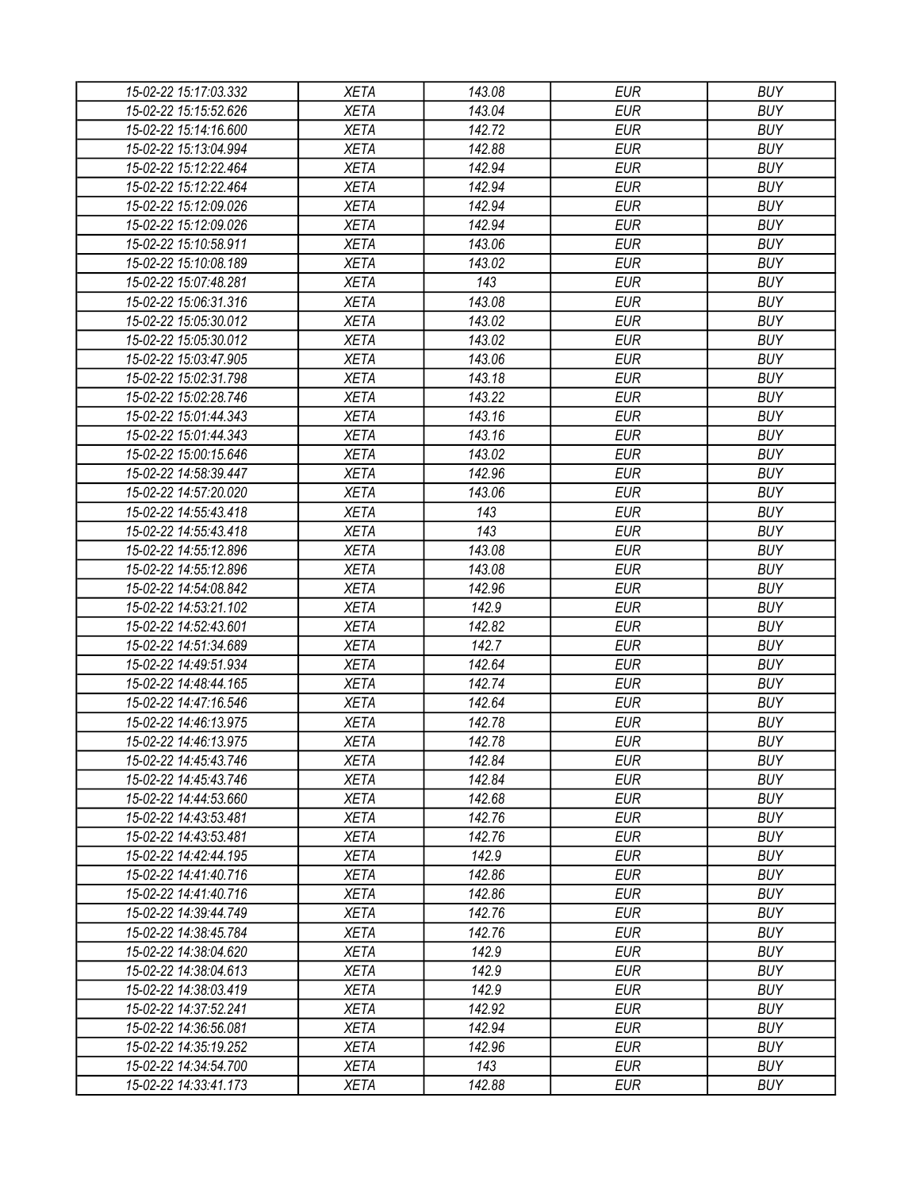| 15-02-22 15:17:03.332 | XETA        | 143.08 | EUR        | <b>BUY</b> |
|-----------------------|-------------|--------|------------|------------|
| 15-02-22 15:15:52.626 | <b>XETA</b> | 143.04 | <b>EUR</b> | <b>BUY</b> |
| 15-02-22 15:14:16.600 | <b>XETA</b> | 142.72 | <b>EUR</b> | <b>BUY</b> |
| 15-02-22 15:13:04.994 | <b>XETA</b> | 142.88 | <b>EUR</b> | <b>BUY</b> |
| 15-02-22 15:12:22.464 | <b>XETA</b> | 142.94 | <b>EUR</b> | <b>BUY</b> |
| 15-02-22 15:12:22.464 | <b>XETA</b> | 142.94 | <b>EUR</b> | <b>BUY</b> |
| 15-02-22 15:12:09.026 | <b>XETA</b> | 142.94 | <b>EUR</b> | <b>BUY</b> |
| 15-02-22 15:12:09.026 | <b>XETA</b> | 142.94 | <b>EUR</b> | <b>BUY</b> |
| 15-02-22 15:10:58.911 | <b>XETA</b> | 143.06 | <b>EUR</b> | <b>BUY</b> |
| 15-02-22 15:10:08.189 | <b>XETA</b> | 143.02 | <b>EUR</b> | <b>BUY</b> |
| 15-02-22 15:07:48.281 | <b>XETA</b> | 143    | <b>EUR</b> | <b>BUY</b> |
| 15-02-22 15:06:31.316 | <b>XETA</b> | 143.08 | <b>EUR</b> | <b>BUY</b> |
| 15-02-22 15:05:30.012 | <b>XETA</b> | 143.02 | <b>EUR</b> | <b>BUY</b> |
| 15-02-22 15:05:30.012 | <b>XETA</b> | 143.02 | <b>EUR</b> | <b>BUY</b> |
| 15-02-22 15:03:47.905 | <b>XETA</b> | 143.06 | <b>EUR</b> | <b>BUY</b> |
| 15-02-22 15:02:31.798 | <b>XETA</b> | 143.18 | <b>EUR</b> | <b>BUY</b> |
|                       | <b>XETA</b> | 143.22 | <b>EUR</b> | <b>BUY</b> |
| 15-02-22 15:02:28.746 | <b>XETA</b> | 143.16 | <b>EUR</b> | <b>BUY</b> |
| 15-02-22 15:01:44.343 | <b>XETA</b> |        |            |            |
| 15-02-22 15:01:44.343 |             | 143.16 | <b>EUR</b> | <b>BUY</b> |
| 15-02-22 15:00:15.646 | <b>XETA</b> | 143.02 | <b>EUR</b> | <b>BUY</b> |
| 15-02-22 14:58:39.447 | <b>XETA</b> | 142.96 | <b>EUR</b> | <b>BUY</b> |
| 15-02-22 14:57:20.020 | <b>XETA</b> | 143.06 | <b>EUR</b> | <b>BUY</b> |
| 15-02-22 14:55:43.418 | <b>XETA</b> | 143    | <b>EUR</b> | <b>BUY</b> |
| 15-02-22 14:55:43.418 | <b>XETA</b> | 143    | <b>EUR</b> | <b>BUY</b> |
| 15-02-22 14:55:12.896 | <b>XETA</b> | 143.08 | <b>EUR</b> | <b>BUY</b> |
| 15-02-22 14:55:12.896 | <b>XETA</b> | 143.08 | EUR        | <b>BUY</b> |
| 15-02-22 14:54:08.842 | <b>XETA</b> | 142.96 | <b>EUR</b> | <b>BUY</b> |
| 15-02-22 14:53:21.102 | <b>XETA</b> | 142.9  | <b>EUR</b> | <b>BUY</b> |
| 15-02-22 14:52:43.601 | <b>XETA</b> | 142.82 | <b>EUR</b> | <b>BUY</b> |
| 15-02-22 14:51:34.689 | <b>XETA</b> | 142.7  | <b>EUR</b> | <b>BUY</b> |
| 15-02-22 14:49:51.934 | <b>XETA</b> | 142.64 | <b>EUR</b> | <b>BUY</b> |
| 15-02-22 14:48:44.165 | <b>XETA</b> | 142.74 | <b>EUR</b> | <b>BUY</b> |
| 15-02-22 14:47:16.546 | <b>XETA</b> | 142.64 | <b>EUR</b> | <b>BUY</b> |
| 15-02-22 14:46:13.975 | <b>XETA</b> | 142.78 | <b>EUR</b> | <b>BUY</b> |
| 15-02-22 14:46:13.975 | <b>XETA</b> | 142.78 | <b>EUR</b> | <b>BUY</b> |
| 15-02-22 14:45:43.746 | <b>XETA</b> | 142.84 | <b>EUR</b> | <b>BUY</b> |
| 15-02-22 14:45:43.746 | <b>XETA</b> | 142.84 | <b>EUR</b> | <b>BUY</b> |
| 15-02-22 14:44:53.660 | <b>XETA</b> | 142.68 | <b>EUR</b> | <b>BUY</b> |
| 15-02-22 14:43:53.481 | <b>XETA</b> | 142.76 | <b>EUR</b> | <b>BUY</b> |
| 15-02-22 14:43:53.481 | <b>XETA</b> | 142.76 | <b>EUR</b> | <b>BUY</b> |
| 15-02-22 14:42:44.195 | <b>XETA</b> | 142.9  | <b>EUR</b> | <b>BUY</b> |
| 15-02-22 14:41:40.716 | <b>XETA</b> | 142.86 | <b>EUR</b> | <b>BUY</b> |
| 15-02-22 14:41:40.716 | <b>XETA</b> | 142.86 | <b>EUR</b> | <b>BUY</b> |
| 15-02-22 14:39:44.749 | <b>XETA</b> | 142.76 | <b>EUR</b> | <b>BUY</b> |
| 15-02-22 14:38:45.784 | <b>XETA</b> | 142.76 | <b>EUR</b> | <b>BUY</b> |
| 15-02-22 14:38:04.620 | <b>XETA</b> | 142.9  | <b>EUR</b> | <b>BUY</b> |
| 15-02-22 14:38:04.613 | <b>XETA</b> | 142.9  | <b>EUR</b> | <b>BUY</b> |
| 15-02-22 14:38:03.419 | <b>XETA</b> | 142.9  | <b>EUR</b> | <b>BUY</b> |
| 15-02-22 14:37:52.241 | <b>XETA</b> | 142.92 | <b>EUR</b> | <b>BUY</b> |
| 15-02-22 14:36:56.081 | <b>XETA</b> | 142.94 | <b>EUR</b> | <b>BUY</b> |
| 15-02-22 14:35:19.252 | <b>XETA</b> | 142.96 | EUR        | <b>BUY</b> |
| 15-02-22 14:34:54.700 | <b>XETA</b> | 143    | <b>EUR</b> | <b>BUY</b> |
| 15-02-22 14:33:41.173 | XETA        | 142.88 | <b>EUR</b> | <b>BUY</b> |
|                       |             |        |            |            |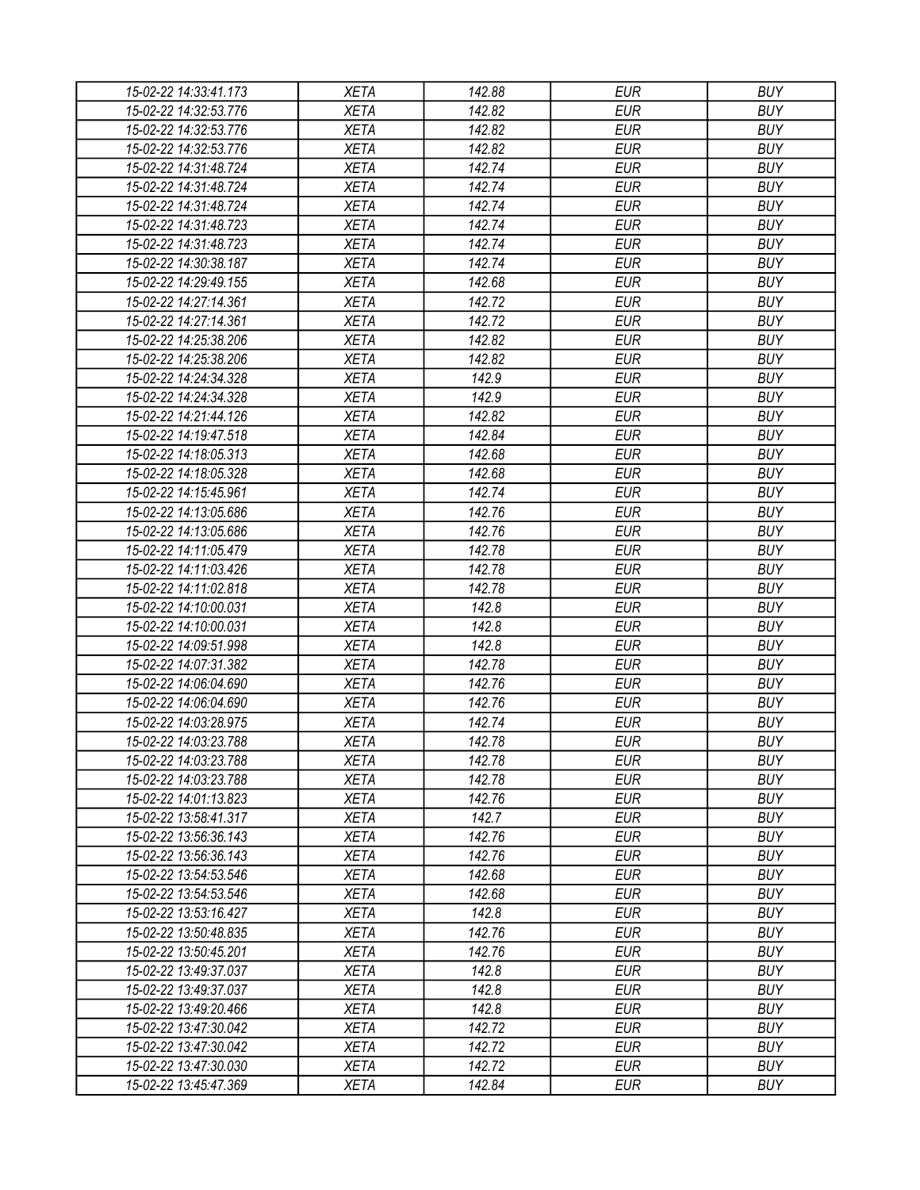| 15-02-22 14:33:41.173 | XETA                       | 142.88           | <b>EUR</b> | <b>BUY</b>               |
|-----------------------|----------------------------|------------------|------------|--------------------------|
| 15-02-22 14:32:53.776 | <b>XETA</b>                | 142.82           | <b>EUR</b> | <b>BUY</b>               |
| 15-02-22 14:32:53.776 | <b>XETA</b>                | 142.82           | <b>EUR</b> | <b>BUY</b>               |
| 15-02-22 14:32:53.776 | <b>XETA</b>                | 142.82           | <b>EUR</b> | <b>BUY</b>               |
| 15-02-22 14:31:48.724 | <b>XETA</b>                | 142.74           | <b>EUR</b> | <b>BUY</b>               |
| 15-02-22 14:31:48.724 | <b>XETA</b>                | 142.74           | <b>EUR</b> | <b>BUY</b>               |
| 15-02-22 14:31:48.724 | <b>XETA</b>                | 142.74           | <b>EUR</b> | <b>BUY</b>               |
| 15-02-22 14:31:48.723 | <b>XETA</b>                | 142.74           | <b>EUR</b> | <b>BUY</b>               |
| 15-02-22 14:31:48.723 | <b>XETA</b>                | 142.74           | <b>EUR</b> | <b>BUY</b>               |
| 15-02-22 14:30:38.187 | <b>XETA</b>                | 142.74           | <b>EUR</b> | <b>BUY</b>               |
| 15-02-22 14:29:49.155 | <b>XETA</b>                | 142.68           | <b>EUR</b> | <b>BUY</b>               |
| 15-02-22 14:27:14.361 | <b>XETA</b>                | 142.72           | <b>EUR</b> | <b>BUY</b>               |
| 15-02-22 14:27:14.361 | <b>XETA</b>                | 142.72           | <b>EUR</b> | <b>BUY</b>               |
| 15-02-22 14:25:38.206 | <b>XETA</b>                | 142.82           | <b>EUR</b> | <b>BUY</b>               |
| 15-02-22 14:25:38.206 | <b>XETA</b>                | 142.82           | <b>EUR</b> | <b>BUY</b>               |
| 15-02-22 14:24:34.328 | <b>XETA</b>                | 142.9            | <b>EUR</b> | <b>BUY</b>               |
| 15-02-22 14:24:34.328 | <b>XETA</b>                | 142.9            | <b>EUR</b> | <b>BUY</b>               |
| 15-02-22 14:21:44.126 | <b>XETA</b>                | 142.82           | <b>EUR</b> | <b>BUY</b>               |
| 15-02-22 14:19:47.518 | <b>XETA</b>                | 142.84           | <b>EUR</b> | <b>BUY</b>               |
| 15-02-22 14:18:05.313 | <b>XETA</b>                | 142.68           | <b>EUR</b> | <b>BUY</b>               |
| 15-02-22 14:18:05.328 | <b>XETA</b>                | 142.68           | <b>EUR</b> | <b>BUY</b>               |
| 15-02-22 14:15:45.961 | <b>XETA</b>                | 142.74           | <b>EUR</b> | <b>BUY</b>               |
| 15-02-22 14:13:05.686 | <b>XETA</b>                | 142.76           | <b>EUR</b> | <b>BUY</b>               |
| 15-02-22 14:13:05.686 | <b>XETA</b>                | 142.76           | <b>EUR</b> | <b>BUY</b>               |
| 15-02-22 14:11:05.479 | <b>XETA</b>                | 142.78           | <b>EUR</b> | <b>BUY</b>               |
| 15-02-22 14:11:03.426 | <b>XETA</b>                | 142.78           | EUR        | <b>BUY</b>               |
| 15-02-22 14:11:02.818 | <b>XETA</b>                | 142.78           | <b>EUR</b> | <b>BUY</b>               |
| 15-02-22 14:10:00.031 | <b>XETA</b>                | 142.8            | <b>EUR</b> | <b>BUY</b>               |
| 15-02-22 14:10:00.031 | <b>XETA</b>                | 142.8            | <b>EUR</b> | <b>BUY</b>               |
| 15-02-22 14:09:51.998 | <b>XETA</b>                | 142.8            | <b>EUR</b> | <b>BUY</b>               |
| 15-02-22 14:07:31.382 | <b>XETA</b>                | 142.78           | <b>EUR</b> | <b>BUY</b>               |
| 15-02-22 14:06:04.690 | <b>XETA</b>                | 142.76           | <b>EUR</b> | <b>BUY</b>               |
| 15-02-22 14:06:04.690 | <b>XETA</b>                | 142.76           | <b>EUR</b> | <b>BUY</b>               |
| 15-02-22 14:03:28.975 |                            | 142.74           | <b>EUR</b> | <b>BUY</b>               |
| 15-02-22 14:03:23.788 | <b>XETA</b>                |                  | <b>EUR</b> |                          |
|                       | <b>XETA</b><br><b>XETA</b> | 142.78<br>142.78 |            | <b>BUY</b><br><b>BUY</b> |
| 15-02-22 14:03:23.788 |                            |                  | <b>EUR</b> |                          |
| 15-02-22 14:03:23.788 | <b>XETA</b>                | 142.78           | <b>EUR</b> | <b>BUY</b>               |
| 15-02-22 14:01:13.823 | <b>XETA</b>                | 142.76           | <b>EUR</b> | <b>BUY</b>               |
| 15-02-22 13:58:41.317 | <b>XETA</b>                | 142.7            | <b>EUR</b> | <b>BUY</b>               |
| 15-02-22 13:56:36.143 | <b>XETA</b>                | 142.76           | <b>EUR</b> | <b>BUY</b>               |
| 15-02-22 13:56:36.143 | <b>XETA</b>                | 142.76           | <b>EUR</b> | <b>BUY</b>               |
| 15-02-22 13:54:53.546 | <b>XETA</b>                | 142.68           | <b>EUR</b> | <b>BUY</b>               |
| 15-02-22 13:54:53.546 | <b>XETA</b>                | 142.68           | <b>EUR</b> | <b>BUY</b>               |
| 15-02-22 13:53:16.427 | <b>XETA</b>                | 142.8            | <b>EUR</b> | <b>BUY</b>               |
| 15-02-22 13:50:48.835 | <b>XETA</b>                | 142.76           | <b>EUR</b> | <b>BUY</b>               |
| 15-02-22 13:50:45.201 | <b>XETA</b>                | 142.76           | <b>EUR</b> | <b>BUY</b>               |
| 15-02-22 13:49:37.037 | <b>XETA</b>                | 142.8            | <b>EUR</b> | <b>BUY</b>               |
| 15-02-22 13:49:37.037 | <b>XETA</b>                | 142.8            | <b>EUR</b> | <b>BUY</b>               |
| 15-02-22 13:49:20.466 | <b>XETA</b>                | 142.8            | <b>EUR</b> | <b>BUY</b>               |
| 15-02-22 13:47:30.042 | <b>XETA</b>                | 142.72           | <b>EUR</b> | <b>BUY</b>               |
| 15-02-22 13:47:30.042 | <b>XETA</b>                | 142.72           | EUR        | <b>BUY</b>               |
| 15-02-22 13:47:30.030 | <b>XETA</b>                | 142.72           | <b>EUR</b> | <b>BUY</b>               |
| 15-02-22 13:45:47.369 | <b>XETA</b>                | 142.84           | <b>EUR</b> | <b>BUY</b>               |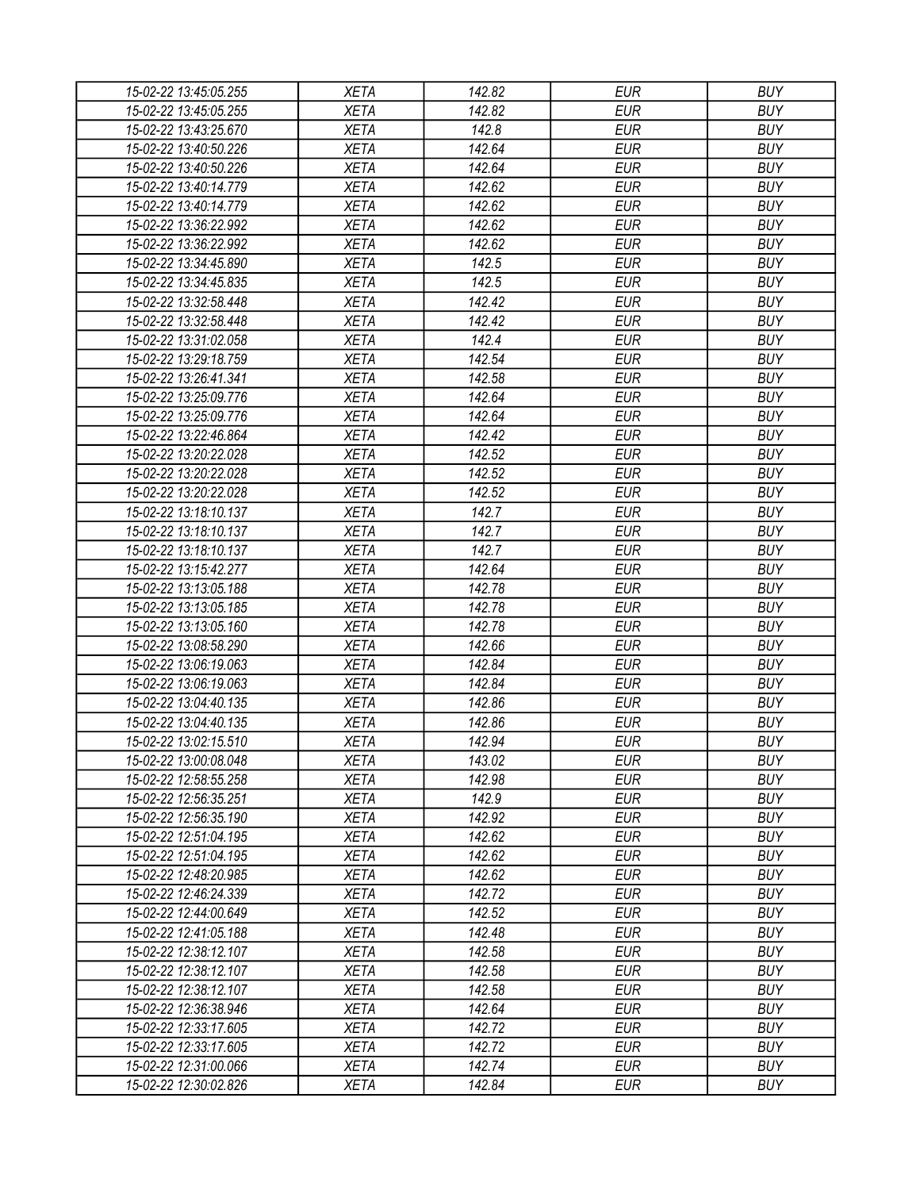| 15-02-22 13:45:05.255 | XETA        | 142.82 | EUR        | <b>BUY</b> |
|-----------------------|-------------|--------|------------|------------|
| 15-02-22 13:45:05.255 | <b>XETA</b> | 142.82 | <b>EUR</b> | <b>BUY</b> |
| 15-02-22 13:43:25.670 | <b>XETA</b> | 142.8  | <b>EUR</b> | <b>BUY</b> |
| 15-02-22 13:40:50.226 | <b>XETA</b> | 142.64 | <b>EUR</b> | <b>BUY</b> |
| 15-02-22 13:40:50.226 | <b>XETA</b> | 142.64 | <b>EUR</b> | <b>BUY</b> |
| 15-02-22 13:40:14.779 | <b>XETA</b> | 142.62 | <b>EUR</b> | <b>BUY</b> |
| 15-02-22 13:40:14.779 | <b>XETA</b> | 142.62 | <b>EUR</b> | <b>BUY</b> |
| 15-02-22 13:36:22.992 | <b>XETA</b> | 142.62 | <b>EUR</b> | <b>BUY</b> |
| 15-02-22 13:36:22.992 | <b>XETA</b> | 142.62 | <b>EUR</b> | <b>BUY</b> |
| 15-02-22 13:34:45.890 | <b>XETA</b> | 142.5  | <b>EUR</b> | <b>BUY</b> |
| 15-02-22 13:34:45.835 | <b>XETA</b> | 142.5  | <b>EUR</b> | <b>BUY</b> |
| 15-02-22 13:32:58.448 | <b>XETA</b> | 142.42 | <b>EUR</b> | <b>BUY</b> |
| 15-02-22 13:32:58.448 | <b>XETA</b> | 142.42 | <b>EUR</b> | <b>BUY</b> |
| 15-02-22 13:31:02.058 | <b>XETA</b> | 142.4  | <b>EUR</b> | <b>BUY</b> |
| 15-02-22 13:29:18.759 | <b>XETA</b> | 142.54 | <b>EUR</b> | <b>BUY</b> |
| 15-02-22 13:26:41.341 | <b>XETA</b> | 142.58 | <b>EUR</b> | <b>BUY</b> |
| 15-02-22 13:25:09.776 | <b>XETA</b> | 142.64 | <b>EUR</b> | <b>BUY</b> |
| 15-02-22 13:25:09.776 | <b>XETA</b> | 142.64 | <b>EUR</b> | <b>BUY</b> |
| 15-02-22 13:22:46.864 | <b>XETA</b> | 142.42 | <b>EUR</b> | <b>BUY</b> |
| 15-02-22 13:20:22.028 | <b>XETA</b> | 142.52 | <b>EUR</b> | <b>BUY</b> |
| 15-02-22 13:20:22.028 | <b>XETA</b> | 142.52 | <b>EUR</b> | <b>BUY</b> |
| 15-02-22 13:20:22.028 | <b>XETA</b> | 142.52 | <b>EUR</b> | <b>BUY</b> |
| 15-02-22 13:18:10.137 | <b>XETA</b> | 142.7  | <b>EUR</b> | <b>BUY</b> |
|                       |             | 142.7  | <b>EUR</b> | <b>BUY</b> |
| 15-02-22 13:18:10.137 | <b>XETA</b> |        |            |            |
| 15-02-22 13:18:10.137 | <b>XETA</b> | 142.7  | <b>EUR</b> | <b>BUY</b> |
| 15-02-22 13:15:42.277 | <b>XETA</b> | 142.64 | EUR        | <b>BUY</b> |
| 15-02-22 13:13:05.188 | <b>XETA</b> | 142.78 | <b>EUR</b> | <b>BUY</b> |
| 15-02-22 13:13:05.185 | <b>XETA</b> | 142.78 | <b>EUR</b> | <b>BUY</b> |
| 15-02-22 13:13:05.160 | <b>XETA</b> | 142.78 | <b>EUR</b> | <b>BUY</b> |
| 15-02-22 13:08:58.290 | <b>XETA</b> | 142.66 | <b>EUR</b> | <b>BUY</b> |
| 15-02-22 13:06:19.063 | <b>XETA</b> | 142.84 | <b>EUR</b> | <b>BUY</b> |
| 15-02-22 13:06:19.063 | <b>XETA</b> | 142.84 | <b>EUR</b> | <b>BUY</b> |
| 15-02-22 13:04:40.135 | <b>XETA</b> | 142.86 | <b>EUR</b> | <b>BUY</b> |
| 15-02-22 13:04:40.135 | <b>XETA</b> | 142.86 | <b>EUR</b> | <b>BUY</b> |
| 15-02-22 13:02:15.510 | <b>XETA</b> | 142.94 | <b>EUR</b> | <b>BUY</b> |
| 15-02-22 13:00:08.048 | <b>XETA</b> | 143.02 | <b>EUR</b> | <b>BUY</b> |
| 15-02-22 12:58:55.258 | <b>XETA</b> | 142.98 | <b>EUR</b> | <b>BUY</b> |
| 15-02-22 12:56:35.251 | <b>XETA</b> | 142.9  | <b>EUR</b> | <b>BUY</b> |
| 15-02-22 12:56:35.190 | <b>XETA</b> | 142.92 | <b>EUR</b> | <b>BUY</b> |
| 15-02-22 12:51:04.195 | <b>XETA</b> | 142.62 | <b>EUR</b> | <b>BUY</b> |
| 15-02-22 12:51:04.195 | <b>XETA</b> | 142.62 | <b>EUR</b> | <b>BUY</b> |
| 15-02-22 12:48:20.985 | <b>XETA</b> | 142.62 | <b>EUR</b> | <b>BUY</b> |
| 15-02-22 12:46:24.339 | <b>XETA</b> | 142.72 | <b>EUR</b> | <b>BUY</b> |
| 15-02-22 12:44:00.649 | <b>XETA</b> | 142.52 | <b>EUR</b> | <b>BUY</b> |
| 15-02-22 12:41:05.188 | <b>XETA</b> | 142.48 | <b>EUR</b> | <b>BUY</b> |
| 15-02-22 12:38:12.107 | <b>XETA</b> | 142.58 | <b>EUR</b> | <b>BUY</b> |
| 15-02-22 12:38:12.107 | <b>XETA</b> | 142.58 | <b>EUR</b> | <b>BUY</b> |
| 15-02-22 12:38:12.107 | <b>XETA</b> | 142.58 | <b>EUR</b> | <b>BUY</b> |
| 15-02-22 12:36:38.946 | <b>XETA</b> | 142.64 | <b>EUR</b> | <b>BUY</b> |
| 15-02-22 12:33:17.605 | <b>XETA</b> | 142.72 | <b>EUR</b> | <b>BUY</b> |
| 15-02-22 12:33:17.605 | <b>XETA</b> | 142.72 | EUR        | <b>BUY</b> |
| 15-02-22 12:31:00.066 | <b>XETA</b> | 142.74 | <b>EUR</b> | <b>BUY</b> |
| 15-02-22 12:30:02.826 | <b>XETA</b> | 142.84 | <b>EUR</b> | <b>BUY</b> |